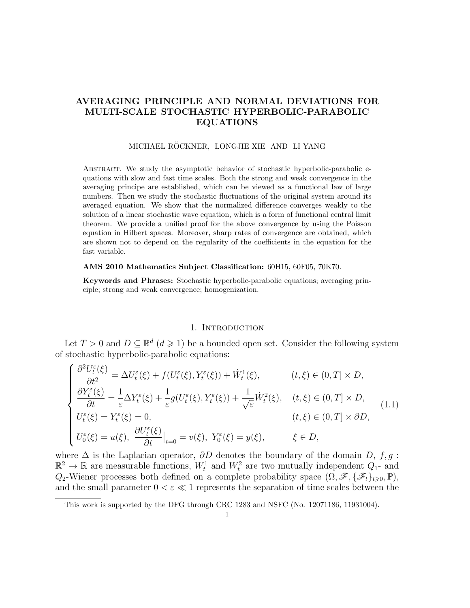# **AVERAGING PRINCIPLE AND NORMAL DEVIATIONS FOR MULTI-SCALE STOCHASTIC HYPERBOLIC-PARABOLIC EQUATIONS**

### MICHAEL RÖCKNER, LONGJIE XIE AND LI YANG

Abstract. We study the asymptotic behavior of stochastic hyperbolic-parabolic equations with slow and fast time scales. Both the strong and weak convergence in the averaging principe are established, which can be viewed as a functional law of large numbers. Then we study the stochastic fluctuations of the original system around its averaged equation. We show that the normalized difference converges weakly to the solution of a linear stochastic wave equation, which is a form of functional central limit theorem. We provide a unified proof for the above convergence by using the Poisson equation in Hilbert spaces. Moreover, sharp rates of convergence are obtained, which are shown not to depend on the regularity of the coefficients in the equation for the fast variable.

#### **AMS 2010 Mathematics Subject Classification:** 60H15, 60F05, 70K70.

**Keywords and Phrases:** Stochastic hyperbolic-parabolic equations; averaging principle; strong and weak convergence; homogenization.

#### 1. INTRODUCTION

Let  $T > 0$  and  $D \subseteq \mathbb{R}^d$   $(d \geq 1)$  be a bounded open set. Consider the following system of stochastic hyperbolic-parabolic equations:

$$
\begin{cases}\n\frac{\partial^2 U_t^{\varepsilon}(\xi)}{\partial t^2} = \Delta U_t^{\varepsilon}(\xi) + f(U_t^{\varepsilon}(\xi), Y_t^{\varepsilon}(\xi)) + \dot{W}_t^1(\xi), & (t, \xi) \in (0, T] \times D, \\
\frac{\partial Y_t^{\varepsilon}(\xi)}{\partial t} = \frac{1}{\varepsilon} \Delta Y_t^{\varepsilon}(\xi) + \frac{1}{\varepsilon} g(U_t^{\varepsilon}(\xi), Y_t^{\varepsilon}(\xi)) + \frac{1}{\sqrt{\varepsilon}} \dot{W}_t^2(\xi), & (t, \xi) \in (0, T] \times D, \\
U_t^{\varepsilon}(\xi) = Y_t^{\varepsilon}(\xi) = 0, & (t, \xi) \in (0, T] \times \partial D, \\
U_0^{\varepsilon}(\xi) = u(\xi), \frac{\partial U_t^{\varepsilon}(\xi)}{\partial t}|_{t=0} = v(\xi), Y_0^{\varepsilon}(\xi) = y(\xi), & \xi \in D,\n\end{cases}
$$
\n(1.1)

where  $\Delta$  is the Laplacian operator,  $\partial D$  denotes the boundary of the domain  $D$ ,  $f, g$ :  $\mathbb{R}^2 \to \mathbb{R}$  are measurable functions,  $W_t^1$  and  $W_t^2$  are two mutually independent  $Q_1$ - and *Q*<sub>2</sub>-Wiener processes both defined on a complete probability space  $(\Omega, \mathscr{F}, {\mathscr{F}_t}_{t\geq0}, \mathbb{P})$ , and the small parameter  $0 < \varepsilon \ll 1$  represents the separation of time scales between the

This work is supported by the DFG through CRC 1283 and NSFC (No. 12071186, 11931004).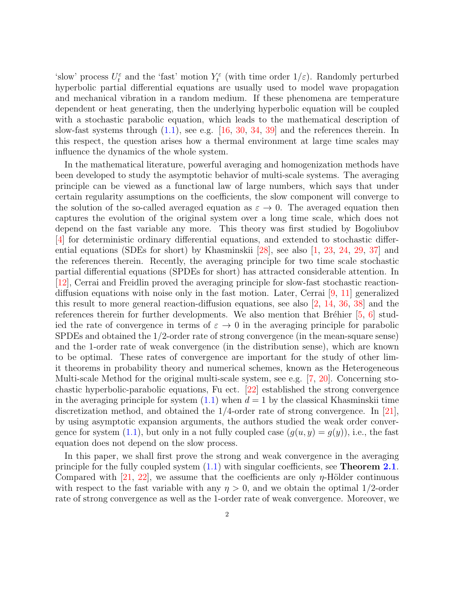'slow' process  $U_t^{\varepsilon}$  and the 'fast' motion  $Y_t^{\varepsilon}$  (with time order  $1/\varepsilon$ ). Randomly perturbed hyperbolic partial differential equations are usually used to model wave propagation and mechanical vibration in a random medium. If these phenomena are temperature dependent or heat generating, then the underlying hyperbolic equation will be coupled with a stochastic parabolic equation, which leads to the mathematical description of slow-fast systems through (1.1), see e.g. [16, 30, 34, 39] and the references therein. In this respect, the question arises how a thermal environment at large time scales may influence the dynamics of the whole system.

In the mathematical literature, powerful averaging and homogenization methods have been developed to study the asymptotic behavior of multi-scale systems. The averaging principle can be viewed as a functional law of large numbers, which says that under certain regularity assumptions on the coefficients, the slow component will converge to the solution of the so-called averaged equation as  $\varepsilon \to 0$ . The averaged equation then captures the evolution of the original system over a long time scale, which does not depend on the fast variable any more. This theory was first studied by Bogoliubov [4] for deterministic ordinary differential equations, and extended to stochastic differential equations (SDEs for short) by Khasminskii [28], see also [1, 23, 24, 29, 37] and the references therein. Recently, the averaging principle for two time scale stochastic partial differential equations (SPDEs for short) has attracted considerable attention. In [12], Cerrai and Freidlin proved the averaging principle for slow-fast stochastic reactiondiffusion equations with noise only in the fast motion. Later, Cerrai [9, 11] generalized this result to more general reaction-diffusion equations, see also [2, 14, 36, 38] and the references therein for further developments. We also mention that Bréhier  $[5, 6]$  studied the rate of convergence in terms of  $\varepsilon \to 0$  in the averaging principle for parabolic SPDEs and obtained the 1*/*2-order rate of strong convergence (in the mean-square sense) and the 1-order rate of weak convergence (in the distribution sense), which are known to be optimal. These rates of convergence are important for the study of other limit theorems in probability theory and numerical schemes, known as the Heterogeneous Multi-scale Method for the original multi-scale system, see e.g. [7, 20]. Concerning stochastic hyperbolic-parabolic equations, Fu ect. [22] established the strong convergence in the averaging principle for system  $(1.1)$  when  $d = 1$  by the classical Khasminskii time discretization method, and obtained the 1*/*4-order rate of strong convergence. In [21], by using asymptotic expansion arguments, the authors studied the weak order convergence for system (1.1), but only in a not fully coupled case  $(q(u, y) = q(y))$ , i.e., the fast equation does not depend on the slow process.

In this paper, we shall first prove the strong and weak convergence in the averaging principle for the fully coupled system (1.1) with singular coefficients, see **Theorem 2.1**. Compared with [21, 22], we assume that the coefficients are only  $\eta$ -Hölder continuous with respect to the fast variable with any  $\eta > 0$ , and we obtain the optimal 1/2-order rate of strong convergence as well as the 1-order rate of weak convergence. Moreover, we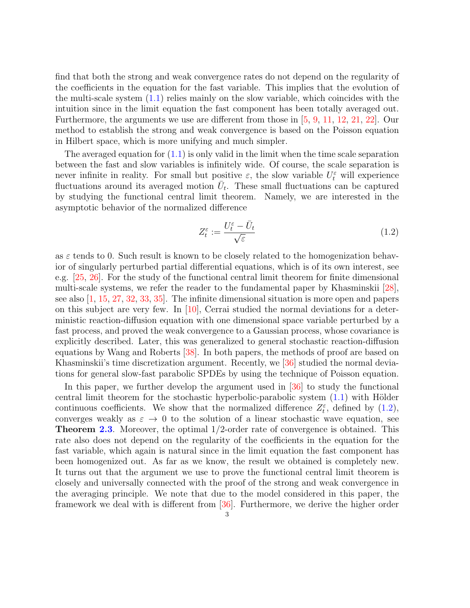find that both the strong and weak convergence rates do not depend on the regularity of the coefficients in the equation for the fast variable. This implies that the evolution of the multi-scale system  $(1.1)$  relies mainly on the slow variable, which coincides with the intuition since in the limit equation the fast component has been totally averaged out. Furthermore, the arguments we use are different from those in [5, 9, 11, 12, 21, 22]. Our method to establish the strong and weak convergence is based on the Poisson equation in Hilbert space, which is more unifying and much simpler.

The averaged equation for  $(1.1)$  is only valid in the limit when the time scale separation between the fast and slow variables is infinitely wide. Of course, the scale separation is never infinite in reality. For small but positive  $\varepsilon$ , the slow variable  $U_t^{\varepsilon}$  will experience fluctuations around its averaged motion  $\overline{U}_t$ . These small fluctuations can be captured by studying the functional central limit theorem. Namely, we are interested in the asymptotic behavior of the normalized difference

$$
Z_t^{\varepsilon} := \frac{U_t^{\varepsilon} - \bar{U}_t}{\sqrt{\varepsilon}}\tag{1.2}
$$

as  $\varepsilon$  tends to 0. Such result is known to be closely related to the homogenization behavior of singularly perturbed partial differential equations, which is of its own interest, see e.g. [25, 26]. For the study of the functional central limit theorem for finite dimensional multi-scale systems, we refer the reader to the fundamental paper by Khasminskii [28], see also [1, 15, 27, 32, 33, 35]. The infinite dimensional situation is more open and papers on this subject are very few. In  $[10]$ , Cerrai studied the normal deviations for a deterministic reaction-diffusion equation with one dimensional space variable perturbed by a fast process, and proved the weak convergence to a Gaussian process, whose covariance is explicitly described. Later, this was generalized to general stochastic reaction-diffusion equations by Wang and Roberts [38]. In both papers, the methods of proof are based on Khasminskii's time discretization argument. Recently, we [36] studied the normal deviations for general slow-fast parabolic SPDEs by using the technique of Poisson equation.

In this paper, we further develop the argument used in [36] to study the functional central limit theorem for the stochastic hyperbolic-parabolic system  $(1.1)$  with Hölder continuous coefficients. We show that the normalized difference  $Z_t^{\varepsilon}$ , defined by (1.2), converges weakly as  $\varepsilon \to 0$  to the solution of a linear stochastic wave equation, see **Theorem 2.3**. Moreover, the optimal 1*/*2-order rate of convergence is obtained. This rate also does not depend on the regularity of the coefficients in the equation for the fast variable, which again is natural since in the limit equation the fast component has been homogenized out. As far as we know, the result we obtained is completely new. It turns out that the argument we use to prove the functional central limit theorem is closely and universally connected with the proof of the strong and weak convergence in the averaging principle. We note that due to the model considered in this paper, the framework we deal with is different from [36]. Furthermore, we derive the higher order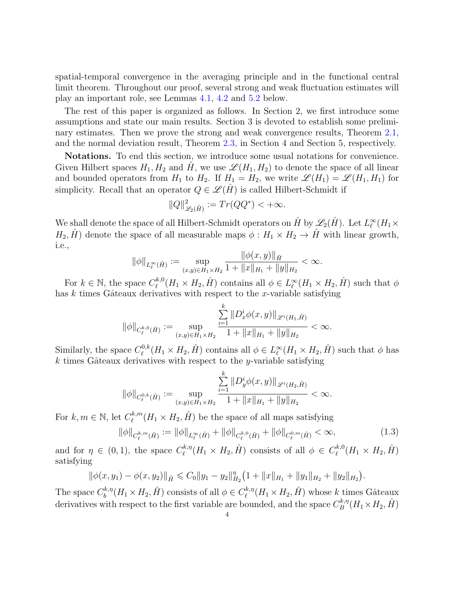spatial-temporal convergence in the averaging principle and in the functional central limit theorem. Throughout our proof, several strong and weak fluctuation estimates will play an important role, see Lemmas 4.1, 4.2 and 5.2 below.

The rest of this paper is organized as follows. In Section 2, we first introduce some assumptions and state our main results. Section 3 is devoted to establish some preliminary estimates. Then we prove the strong and weak convergence results, Theorem 2.1, and the normal deviation result, Theorem 2.3, in Section 4 and Section 5, respectively.

**Notations.** To end this section, we introduce some usual notations for convenience. Given Hilbert spaces  $H_1, H_2$  and  $\hat{H}$ , we use  $\mathscr{L}(H_1, H_2)$  to denote the space of all linear and bounded operators from  $H_1$  to  $H_2$ . If  $H_1 = H_2$ , we write  $\mathscr{L}(H_1) = \mathscr{L}(H_1, H_1)$  for simplicity. Recall that an operator  $Q \in \mathcal{L}(H)$  is called Hilbert-Schmidt if

$$
||Q||_{\mathscr{L}_2(\hat{H})}^2 := Tr(QQ^*) < +\infty.
$$

We shall denote the space of all Hilbert-Schmidt operators on  $\hat{H}$  by  $\mathscr{L}_2(\hat{H})$ . Let  $L^\infty_\ell(H_1 \times$ *H*<sub>2</sub>,  $\hat{H}$ <sup>2</sup>) denote the space of all measurable maps  $\phi: H_1 \times H_2 \to \hat{H}$  with linear growth, i.e.,

$$
\|\phi\|_{L^{\infty}_{\ell}(\hat{H})} := \sup_{(x,y)\in H_1\times H_2} \frac{\|\phi(x,y)\|_{\hat{H}}}{1 + \|x\|_{H_1} + \|y\|_{H_2}} < \infty.
$$

For  $k \in \mathbb{N}$ , the space  $C_{\ell}^{k,0}$  $\psi_{\ell}^{k,0}(H_1 \times H_2, \hat{H})$  contains all  $\phi \in L_{\ell}^{\infty}(H_1 \times H_2, \hat{H})$  such that  $\phi$ has  $k$  times Gâteaux derivatives with respect to the  $x$ -variable satisfying

$$
\|\phi\|_{C^{k,0}_{\ell}(\hat{H})}:=\sup_{(x,y)\in H_1\times H_2}\frac{\sum\limits_{\rm i=1}^k\|D_x^i\phi(x,y)\|_{\mathscr{L}^i(H_1,\hat{H})}}{1+\|x\|_{H_1}+\|y\|_{H_2}}<\infty.
$$

Similarly, the space  $C_{\ell}^{0,k}$  $\psi_{\ell}^{0,k}(H_1 \times H_2, \hat{H})$  contains all  $\phi \in L_{\ell}^{\infty}(H_1 \times H_2, \hat{H})$  such that  $\phi$  has  $k$  times Gâteaux derivatives with respect to the *y*-variable satisfying

$$
\|\phi\|_{C^{0,k}_\ell(\hat{H})}:=\sup_{(x,y)\in H_1\times H_2}\frac{\sum\limits_{i=1}^k\|D^i_y\phi(x,y)\|_{\mathscr{L}^i(H_2,\hat{H})}}{1+\|x\|_{H_1}+\|y\|_{H_2}}<\infty.
$$

For  $k, m \in \mathbb{N}$ , let  $C_{\ell}^{k,m}$  $\ell_{\ell}^{k,m}(H_1 \times H_2, \hat{H})$  be the space of all maps satisfying

$$
\|\phi\|_{C_{\ell}^{k,m}(\hat{H})} := \|\phi\|_{L_{\ell}^{\infty}(\hat{H})} + \|\phi\|_{C_{\ell}^{k,0}(\hat{H})} + \|\phi\|_{C_{\ell}^{0,m}(\hat{H})} < \infty,\tag{1.3}
$$

and for  $\eta \in (0,1)$ , the space  $C_{\ell}^{k,\eta}$  $\ell_{\ell}^{k,\eta}(H_1 \times H_2, \hat{H})$  consists of all  $\phi \in C_{\ell}^{k,0}$  $\ell_{\ell}^{k,0}(H_1 \times H_2, \hat{H})$ satisfying

$$
\|\phi(x,y_1)-\phi(x,y_2)\|_{\hat{H}}\leq C_0\|y_1-y_2\|_{H_2}^{\eta}\big(1+\|x\|_{H_1}+\|y_1\|_{H_2}+\|y_2\|_{H_2}\big).
$$

The space  $C_b^{k,\eta}$  $b^{k,\eta}_{b}(H_1 \times H_2, \hat{H})$  consists of all  $\phi \in C_{\ell}^{k,\eta}$  $\ell^{k,\eta}_\ell(H_1 \times H_2, \hat{H})$  whose *k* times Gâteaux derivatives with respect to the first variable are bounded, and the space  $C_R^{k,\eta}$  $B^{\kappa,\eta}(H_1\times H_2, \hat{H})$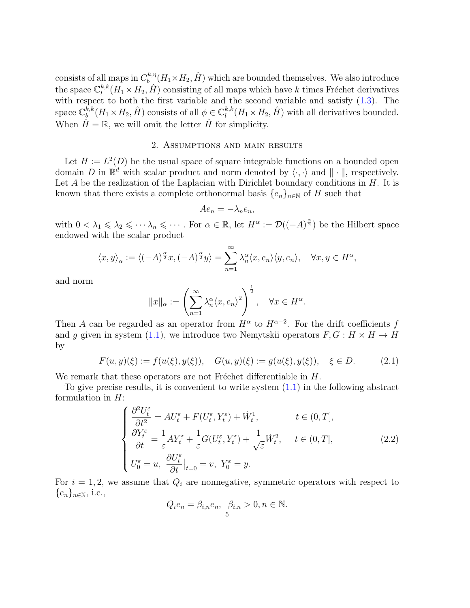consists of all maps in  $C_h^{k,\eta}$  $b^{k,\eta}_{b}(H_1\times H_2, \hat{H})$  which are bounded themselves. We also introduce the space  $\mathbb{C}_l^{k,k}$  $l_l^{k,k}(H_1 \times H_2, H)$  consisting of all maps which have *k* times Fréchet derivatives with respect to both the first variable and the second variable and satisfy  $(1.3)$ . The  ${\rm space}\ \mathbb{C}^{k,k}_b$  $\phi_b^{k,k}(H_1 \times H_2, \hat{H})$  consists of all  $\phi \in \mathbb{C}_l^{k,k}$  $l_l^{k,k}(H_1 \times H_2, \hat{H})$  with all derivatives bounded. When  $\hat{H} = \mathbb{R}$ , we will omit the letter  $\hat{H}$  for simplicity.

### 2. Assumptions and main results

Let  $H := L^2(D)$  be the usual space of square integrable functions on a bounded open domain *D* in  $\mathbb{R}^d$  with scalar product and norm denoted by  $\langle \cdot, \cdot \rangle$  and  $|| \cdot ||$ , respectively. Let *A* be the realization of the Laplacian with Dirichlet boundary conditions in *H*. It is known that there exists a complete orthonormal basis  $\{e_n\}_{n\in\mathbb{N}}$  of *H* such that

$$
Ae_n = -\lambda_n e_n,
$$

with  $0 < \lambda_1 \leq \lambda_2 \leq \cdots \lambda_n \leq \cdots$ . For  $\alpha \in \mathbb{R}$ , let  $H^{\alpha} := \mathcal{D}((-A)^{\frac{\alpha}{2}})$  be the Hilbert space endowed with the scalar product

$$
\langle x, y \rangle_{\alpha} := \langle (-A)^{\frac{\alpha}{2}} x, (-A)^{\frac{\alpha}{2}} y \rangle = \sum_{n=1}^{\infty} \lambda_n^{\alpha} \langle x, e_n \rangle \langle y, e_n \rangle, \quad \forall x, y \in H^{\alpha},
$$

and norm

$$
||x||_{\alpha} := \left(\sum_{n=1}^{\infty} \lambda_n^{\alpha} \langle x, e_n \rangle^2\right)^{\frac{1}{2}}, \quad \forall x \in H^{\alpha}.
$$

Then *A* can be regarded as an operator from  $H^{\alpha}$  to  $H^{\alpha-2}$ . For the drift coefficients *f* and *g* given in system (1.1), we introduce two Nemytskii operators  $F, G: H \times H \rightarrow H$ by

$$
F(u, y)(\xi) := f(u(\xi), y(\xi)), \quad G(u, y)(\xi) := g(u(\xi), y(\xi)), \quad \xi \in D. \tag{2.1}
$$

We remark that these operators are not Fréchet differentiable in *H*.

To give precise results, it is convenient to write system  $(1.1)$  in the following abstract formulation in *H*:

$$
\begin{cases}\n\frac{\partial^2 U_t^{\varepsilon}}{\partial t^2} = AU_t^{\varepsilon} + F(U_t^{\varepsilon}, Y_t^{\varepsilon}) + \dot{W}_t^1, & t \in (0, T], \\
\frac{\partial Y_t^{\varepsilon}}{\partial t} = \frac{1}{\varepsilon} A Y_t^{\varepsilon} + \frac{1}{\varepsilon} G(U_t^{\varepsilon}, Y_t^{\varepsilon}) + \frac{1}{\sqrt{\varepsilon}} \dot{W}_t^2, & t \in (0, T], \\
U_0^{\varepsilon} = u, & \frac{\partial U_t^{\varepsilon}}{\partial t}|_{t=0} = v, \ Y_0^{\varepsilon} = y.\n\end{cases}
$$
\n(2.2)

For  $i = 1, 2$ , we assume that  $Q_i$  are nonnegative, symmetric operators with respect to *{en}<sup>n</sup>∈*<sup>N</sup>, i.e.,

$$
Q_i e_n = \beta_{i,n} e_n, \ \beta_{i,n} > 0, n \in \mathbb{N}.
$$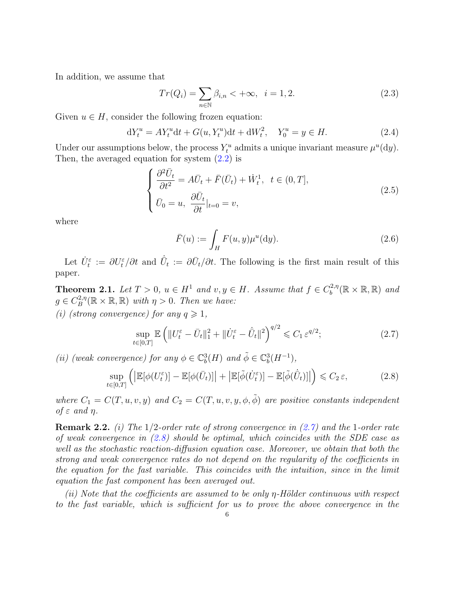In addition, we assume that

$$
Tr(Q_i) = \sum_{n \in \mathbb{N}} \beta_{i,n} < +\infty, \ \ i = 1, 2. \tag{2.3}
$$

Given  $u \in H$ , consider the following frozen equation:

$$
dY_t^u = AY_t^u dt + G(u, Y_t^u) dt + dW_t^2, \quad Y_0^u = y \in H.
$$
\n(2.4)

Under our assumptions below, the process  $Y_t^u$  admits a unique invariant measure  $\mu^u(dy)$ . Then, the averaged equation for system (2.2) is

$$
\begin{cases}\n\frac{\partial^2 \bar{U}_t}{\partial t^2} = A\bar{U}_t + \bar{F}(\bar{U}_t) + \dot{W}_t^1, \ t \in (0, T], \\
\bar{U}_0 = u, \ \frac{\partial \bar{U}_t}{\partial t}|_{t=0} = v,\n\end{cases}
$$
\n(2.5)

where

$$
\bar{F}(u) := \int_H F(u, y) \mu^u(\mathrm{d}y). \tag{2.6}
$$

Let  $\dot{U}^{\varepsilon}_{t} := \partial U^{\varepsilon}_{t}/\partial t$  and  $\dot{\bar{U}}_{t} := \partial \bar{U}_{t}/\partial t$ . The following is the first main result of this paper.

**Theorem 2.1.** *Let*  $T > 0$ ,  $u \in H^1$  *and*  $v, y \in H$ *. Assume that*  $f \in C_b^{2,\eta}$  $b^{(2,\eta)}_b(\mathbb{R}\times\mathbb{R},\mathbb{R})$  and  $g \in C_B^{2,\eta}$  $B^{2,\eta}_{B}(\mathbb{R} \times \mathbb{R}, \mathbb{R})$  *with*  $\eta > 0$ *. Then we have:* 

*(i)* (strong convergence) for any  $q \geq 1$ ,

$$
\sup_{t \in [0,T]} \mathbb{E} \left( \| U_t^{\varepsilon} - \bar{U}_t \|_1^2 + \| \dot{U}_t^{\varepsilon} - \dot{\bar{U}}_t \|^2 \right)^{q/2} \leq C_1 \, \varepsilon^{q/2};\tag{2.7}
$$

*(ii) (weak convergence) for any*  $\phi \in \mathbb{C}_b^3(H)$  *and*  $\tilde{\phi} \in \mathbb{C}_b^3(H^{-1})$ *,* 

$$
\sup_{t \in [0,T]} \left( \left| \mathbb{E}[\phi(U_t^{\varepsilon})] - \mathbb{E}[\phi(\bar{U}_t)] \right| + \left| \mathbb{E}[\tilde{\phi}(\dot{U}_t^{\varepsilon})] - \mathbb{E}[\tilde{\phi}(\dot{\bar{U}}_t)] \right| \right) \leqslant C_2 \, \varepsilon,\tag{2.8}
$$

*where*  $C_1 = C(T, u, v, y)$  *and*  $C_2 = C(T, u, v, y, \phi, \tilde{\phi})$  *are positive constants independent of ε and η.*

**Remark 2.2.** *(i) The* 1*/*2*-order rate of strong convergence in (2.7) and the* 1*-order rate of weak convergence in (2.8) should be optimal, which coincides with the SDE case as well as the stochastic reaction-diffusion equation case. Moreover, we obtain that both the strong and weak convergence rates do not depend on the regularity of the coefficients in the equation for the fast variable. This coincides with the intuition, since in the limit equation the fast component has been averaged out.*

*(ii) Note that the coefficients are assumed to be only η-Hölder continuous with respect to the fast variable, which is sufficient for us to prove the above convergence in the*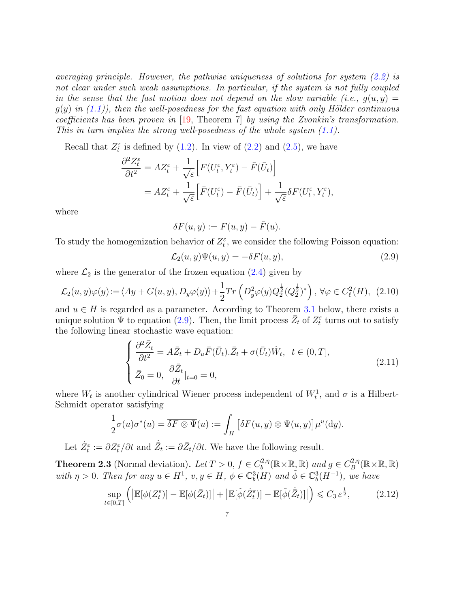*averaging principle. However, the pathwise uniqueness of solutions for system (2.2) is not clear under such weak assumptions. In particular, if the system is not fully coupled in the sense that the fast motion does not depend on the slow variable (i.e.,*  $q(u, y) =$  $g(y)$  *in*  $(1.1)$ *), then the well-posedness for the fast equation with only Hölder continuous coefficients has been proven in* [19, Theorem 7] *by using the Zvonkin's transformation. This in turn implies the strong well-posedness of the whole system (1.1).*

Recall that  $Z_t^{\varepsilon}$  is defined by (1.2). In view of (2.2) and (2.5), we have

$$
\frac{\partial^2 Z_t^{\varepsilon}}{\partial t^2} = AZ_t^{\varepsilon} + \frac{1}{\sqrt{\varepsilon}} \Big[ F(U_t^{\varepsilon}, Y_t^{\varepsilon}) - \bar{F}(\bar{U}_t) \Big] \n= AZ_t^{\varepsilon} + \frac{1}{\sqrt{\varepsilon}} \Big[ \bar{F}(U_t^{\varepsilon}) - \bar{F}(\bar{U}_t) \Big] + \frac{1}{\sqrt{\varepsilon}} \delta F(U_t^{\varepsilon}, Y_t^{\varepsilon}),
$$

where

$$
\delta F(u, y) := F(u, y) - \overline{F}(u).
$$

To study the homogenization behavior of  $Z_t^{\varepsilon}$ , we consider the following Poisson equation:

$$
\mathcal{L}_2(u, y)\Psi(u, y) = -\delta F(u, y),\tag{2.9}
$$

where  $\mathcal{L}_2$  is the generator of the frozen equation (2.4) given by

$$
\mathcal{L}_2(u, y)\varphi(y) := \langle Ay + G(u, y), D_y \varphi(y) \rangle + \frac{1}{2} Tr \left( D_y^2 \varphi(y) Q_2^{\frac{1}{2}} (Q_2^{\frac{1}{2}})^* \right), \ \forall \varphi \in C_{\ell}^2(H), \tag{2.10}
$$

and  $u \in H$  is regarded as a parameter. According to Theorem 3.1 below, there exists a unique solution  $\Psi$  to equation (2.9). Then, the limit process  $\bar{Z}_t$  of  $Z_t^{\varepsilon}$  turns out to satisfy the following linear stochastic wave equation:

$$
\begin{cases} \frac{\partial^2 \bar{Z}_t}{\partial t^2} = A \bar{Z}_t + D_u \bar{F} (\bar{U}_t) . \bar{Z}_t + \sigma(\bar{U}_t) \dot{W}_t, \ t \in (0, T],\\ \bar{Z}_0 = 0, \ \frac{\partial \bar{Z}_t}{\partial t}|_{t=0} = 0, \end{cases}
$$
\n(2.11)

where  $W_t$  is another cylindrical Wiener process independent of  $W_t^1$ , and  $\sigma$  is a Hilbert-Schmidt operator satisfying

$$
\frac{1}{2}\sigma(u)\sigma^*(u) = \overline{\delta F \otimes \Psi}(u) := \int_H \left[ \delta F(u,y) \otimes \Psi(u,y) \right] \mu^u(\mathrm{d}y).
$$

Let  $\dot{Z}_t^{\varepsilon} := \partial Z_t^{\varepsilon}/\partial t$  and  $\dot{\bar{Z}}_t := \partial \bar{Z}_t/\partial t$ . We have the following result.

**Theorem 2.3** (Normal deviation). Let  $T > 0$ ,  $f \in C_h^{2,\eta}$  $b^{2,\eta}_{b}(\mathbb{R}\times\mathbb{R}, \mathbb{R})$  *and*  $g \in C_B^{2,\eta}$  $B^{\prime 2,\eta}_B(\mathbb{R}\times\mathbb{R},\mathbb{R})$ with  $\eta > 0$ . Then for any  $u \in H^1$ ,  $v, y \in H$ ,  $\phi \in \mathbb{C}^3_b(H)$  and  $\tilde{\phi} \in \mathbb{C}^3_b(H^{-1})$ , we have

$$
\sup_{t \in [0,T]} \left( \left| \mathbb{E}[\phi(Z_t^{\varepsilon})] - \mathbb{E}[\phi(\bar{Z}_t)] \right| + \left| \mathbb{E}[\tilde{\phi}(\dot{Z}_t^{\varepsilon})] - \mathbb{E}[\tilde{\phi}(\dot{\bar{Z}}_t)] \right| \right) \leqslant C_3 \, \varepsilon^{\frac{1}{2}},\tag{2.12}
$$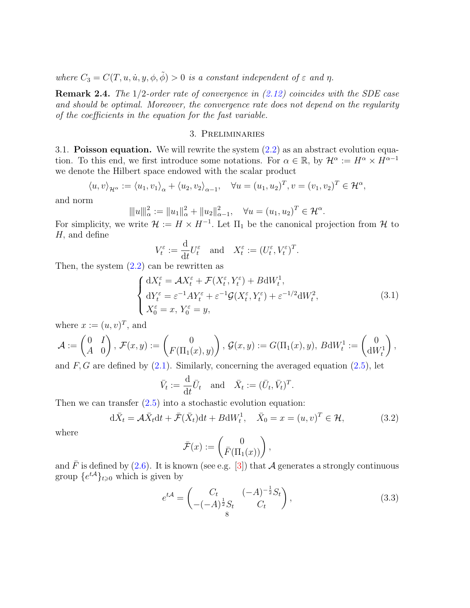*where*  $C_3 = C(T, u, \dot{u}, y, \phi, \tilde{\phi}) > 0$  *is a constant independent of*  $\varepsilon$  *and*  $\eta$ *.* 

**Remark 2.4.** *The* 1*/*2*-order rate of convergence in (2.12) coincides with the SDE case and should be optimal. Moreover, the convergence rate does not depend on the regularity of the coefficients in the equation for the fast variable.*

### 3. Preliminaries

3.1. **Poisson equation.** We will rewrite the system (2.2) as an abstract evolution equation. To this end, we first introduce some notations. For  $\alpha \in \mathbb{R}$ , by  $\mathcal{H}^{\alpha} := H^{\alpha} \times H^{\alpha-1}$ we denote the Hilbert space endowed with the scalar product

$$
\langle u, v \rangle_{\mathcal{H}^{\alpha}} := \langle u_1, v_1 \rangle_{\alpha} + \langle u_2, v_2 \rangle_{\alpha - 1}, \quad \forall u = (u_1, u_2)^T, v = (v_1, v_2)^T \in \mathcal{H}^{\alpha},
$$

and norm

$$
\| |u||_{\alpha}^2 := \|u_1\|_{\alpha}^2 + \|u_2\|_{\alpha-1}^2, \quad \forall u = (u_1, u_2)^T \in \mathcal{H}^{\alpha}.
$$

For simplicity, we write  $\mathcal{H} := H \times H^{-1}$ . Let  $\Pi_1$  be the canonical projection from  $\mathcal{H}$  to *H,* and define

$$
V_t^{\varepsilon} := \frac{\mathrm{d}}{\mathrm{d}t} U_t^{\varepsilon} \quad \text{and} \quad X_t^{\varepsilon} := (U_t^{\varepsilon}, V_t^{\varepsilon})^T.
$$

Then, the system  $(2.2)$  can be rewritten as

$$
\begin{cases}\ndX_t^{\varepsilon} = \mathcal{A}X_t^{\varepsilon} + \mathcal{F}(X_t^{\varepsilon}, Y_t^{\varepsilon}) + B \, dW_t^1, \\
dY_t^{\varepsilon} = \varepsilon^{-1} A Y_t^{\varepsilon} + \varepsilon^{-1} \mathcal{G}(X_t^{\varepsilon}, Y_t^{\varepsilon}) + \varepsilon^{-1/2} dW_t^2, \\
X_0^{\varepsilon} = x, Y_0^{\varepsilon} = y,\n\end{cases} \tag{3.1}
$$

where  $x := (u, v)^T$ , and

$$
\mathcal{A} := \begin{pmatrix} 0 & I \\ A & 0 \end{pmatrix}, \ \mathcal{F}(x, y) := \begin{pmatrix} 0 \\ F(\Pi_1(x), y) \end{pmatrix}, \ \mathcal{G}(x, y) := G(\Pi_1(x), y), \ B \mathrm{d} W_t^1 := \begin{pmatrix} 0 \\ \mathrm{d} W_t^1 \end{pmatrix},
$$

and *F, G* are defined by (2.1). Similarly, concerning the averaged equation (2.5), let

$$
\bar{V}_t := \frac{\mathrm{d}}{\mathrm{d}t} \bar{U}_t \quad \text{and} \quad \bar{X}_t := (\bar{U}_t, \bar{V}_t)^T.
$$

Then we can transfer  $(2.5)$  into a stochastic evolution equation:

$$
d\bar{X}_t = \mathcal{A}\bar{X}_t dt + \bar{\mathcal{F}}(\bar{X}_t) dt + B dW_t^1, \quad \bar{X}_0 = x = (u, v)^T \in \mathcal{H},
$$
\n(3.2)

where

$$
\bar{\mathcal{F}}(x) := \begin{pmatrix} 0 \\ \bar{F}(\Pi_1(x)) \end{pmatrix},
$$

and  $\bar{F}$  is defined by (2.6). It is known (see e.g. [3]) that *A* generates a strongly continuous group  $\{e^{t\mathcal{A}}\}_{t\geq 0}$  which is given by

$$
e^{t\mathcal{A}} = \begin{pmatrix} C_t & (-A)^{-\frac{1}{2}} S_t \\ -(-A)^{\frac{1}{2}} S_t & C_t \end{pmatrix},
$$
(3.3)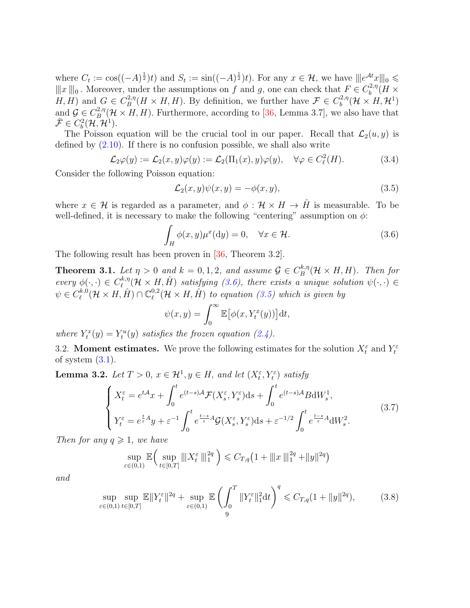where  $C_t := \cos((-A)^{\frac{1}{2}})t$  and  $S_t := \sin((-A)^{\frac{1}{2}})t$ . For any  $x \in \mathcal{H}$ , we have  $\|e^{\mathcal{A}t}x\|_0 \le$  $||x||_0$ . Moreover, under the assumptions on *f* and *g*, one can check that  $F \in C_b^{2,\eta}(H \times H, H)$ *b H*, *H*) and  $G \in C_B^{2,\eta}$  $B_B^{2,\eta}(H \times H, H)$ . By definition, we further have  $\mathcal{F} \in C_b^{2,\eta}$  $\mathcal{H}_b^{(2,\eta)}(\mathcal{H}\times H,\mathcal{H}^1)$ and  $\mathcal{G} \in C^{2,\eta}_B$  $B^{(2,\eta)}_B(\mathcal{H}\times H,H)$ . Furthermore, according to [36, Lemma 3.7], we also have that  $\bar{\mathcal{F}} \in C_b^2(\mathcal{H}, \mathcal{H}^1).$ 

The Poisson equation will be the crucial tool in our paper. Recall that  $\mathcal{L}_2(u, y)$  is defined by  $(2.10)$ . If there is no confusion possible, we shall also write

$$
\mathcal{L}_2\varphi(y) := \mathcal{L}_2(x, y)\varphi(y) := \mathcal{L}_2(\Pi_1(x), y)\varphi(y), \quad \forall \varphi \in C_{\ell}^2(H). \tag{3.4}
$$

Consider the following Poisson equation:

$$
\mathcal{L}_2(x, y)\psi(x, y) = -\phi(x, y),\tag{3.5}
$$

where  $x \in \mathcal{H}$  is regarded as a parameter, and  $\phi : \mathcal{H} \times H \to \hat{H}$  is measurable. To be well-defined, it is necessary to make the following "centering" assumption on  $\phi$ :

$$
\int_{H} \phi(x, y) \mu^{x}(\mathrm{d}y) = 0, \quad \forall x \in \mathcal{H}.
$$
\n(3.6)

The following result has been proven in [36, Theorem 3.2].

**Theorem 3.1.** *Let*  $\eta > 0$  *and*  $k = 0, 1, 2$ *, and assume*  $\mathcal{G} \in C_B^{k, \eta}$  $B^{k,\eta}_B(\mathcal{H}\times H,H)$ . Then for  $every \phi(\cdot, \cdot) \in C_{\ell}^{k, \eta}$  $\ell^{k,\eta}_{\ell}(\mathcal{H} \times H, \hat{H})$  satisfying (3.6), there exists a unique solution  $\psi(\cdot, \cdot) \in$  $\psi \in C^{k,0}_\ell$  $\ell_{\ell}^{k,0}(\mathcal{H}\times H,\hat{H})\cap\mathbb{C}_{\ell}^{0,2}$  $\ell_{\ell}^{0,2}(\mathcal{H}\times H,\hat{H})$  to equation (3.5) which is given by

$$
\psi(x,y) = \int_0^\infty \mathbb{E} \big[ \phi(x, Y_t^x(y)) \big] dt,
$$

*where*  $Y_t^x(y) = Y_t^u(y)$  *satisfies the frozen equation* (2.4).

3.2. **Moment estimates.** We prove the following estimates for the solution  $X_t^{\varepsilon}$  and  $Y_t^{\varepsilon}$ of system  $(3.1)$ .

**Lemma 3.2.** *Let*  $T > 0$ ,  $x \in \mathcal{H}^1$ ,  $y \in H$ , and let  $(X_t^{\varepsilon}, Y_t^{\varepsilon})$  satisfy

$$
\begin{cases}\nX_t^{\varepsilon} = e^{t\mathcal{A}}x + \int_0^t e^{(t-s)\mathcal{A}}\mathcal{F}(X_s^{\varepsilon}, Y_s^{\varepsilon})ds + \int_0^t e^{(t-s)\mathcal{A}}B \mathrm{d}W_s^1, \\
Y_t^{\varepsilon} = e^{\frac{t}{\varepsilon}\mathcal{A}}y + \varepsilon^{-1} \int_0^t e^{\frac{t-s}{\varepsilon}\mathcal{A}}\mathcal{G}(X_s^{\varepsilon}, Y_s^{\varepsilon})ds + \varepsilon^{-1/2} \int_0^t e^{\frac{t-s}{\varepsilon}\mathcal{A}} \mathrm{d}W_s^2.\n\end{cases} \tag{3.7}
$$

*Then for any*  $q \geq 1$ *, we have* 

$$
\sup_{\varepsilon \in (0,1)} \mathbb{E} \left( \sup_{t \in [0,T]} \| |X_t^{\varepsilon} \|_1^{2q} \right) \leq C_{T,q} \left( 1 + \| |x| \|_1^{2q} + \|y\|^{2q} \right)
$$

*and*

$$
\sup_{\varepsilon \in (0,1)} \sup_{t \in [0,T]} \mathbb{E} \|Y_t^{\varepsilon}\|^{2q} + \sup_{\varepsilon \in (0,1)} \mathbb{E} \left( \int_0^T \|Y_t^{\varepsilon}\|_1^2 dt \right)^q \leq C_{T,q} (1 + \|y\|^{2q}), \tag{3.8}
$$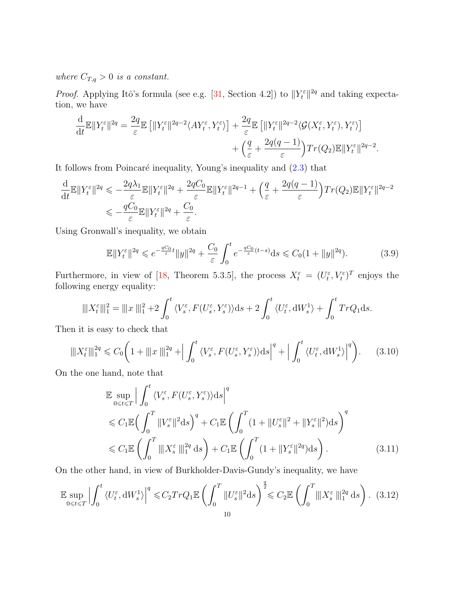*where*  $C_{T,q} > 0$  *is a constant.* 

*Proof.* Applying Itô's formula (see e.g. [31, Section 4.2]) to  $||Y_t^{\varepsilon}||^{2q}$  and taking expectation, we have

$$
\frac{\mathrm{d}}{\mathrm{d}t} \mathbb{E} \|Y_t^{\varepsilon}\|^{2q} = \frac{2q}{\varepsilon} \mathbb{E} \left[ \|Y_t^{\varepsilon}\|^{2q-2} \langle A Y_t^{\varepsilon}, Y_t^{\varepsilon} \rangle \right] + \frac{2q}{\varepsilon} \mathbb{E} \left[ \|Y_t^{\varepsilon}\|^{2q-2} \langle \mathcal{G}(X_t^{\varepsilon}, Y_t^{\varepsilon}), Y_t^{\varepsilon} \rangle \right] + \left( \frac{q}{\varepsilon} + \frac{2q(q-1)}{\varepsilon} \right) Tr(Q_2) \mathbb{E} \|Y_t^{\varepsilon}\|^{2q-2}.
$$

It follows from Poincaré inequality, Young's inequality and  $(2.3)$  that

$$
\frac{\mathrm{d}}{\mathrm{d}t} \mathbb{E} \|Y_t^{\varepsilon}\|^{2q} \leqslant -\frac{2q\lambda_1}{\varepsilon} \mathbb{E} \|Y_t^{\varepsilon}\|^{2q} + \frac{2qC_0}{\varepsilon} \mathbb{E} \|Y_t^{\varepsilon}\|^{2q-1} + \left(\frac{q}{\varepsilon} + \frac{2q(q-1)}{\varepsilon}\right) Tr(Q_2) \mathbb{E} \|Y_t^{\varepsilon}\|^{2q-2}
$$
\n
$$
\leqslant -\frac{qC_0}{\varepsilon} \mathbb{E} \|Y_t^{\varepsilon}\|^{2q} + \frac{C_0}{\varepsilon}.
$$

Using Gronwall's inequality, we obtain

$$
\mathbb{E}\|Y_t^{\varepsilon}\|^{2q} \leqslant e^{-\frac{qC_0}{\varepsilon}t} \|y\|^{2q} + \frac{C_0}{\varepsilon} \int_0^t e^{-\frac{qC_0}{\varepsilon}(t-s)} ds \leqslant C_0(1+\|y\|^{2q}).\tag{3.9}
$$

Furthermore, in view of [18, Theorem 5.3.5], the process  $X_t^{\varepsilon} = (U_t^{\varepsilon}, V_t^{\varepsilon})^T$  enjoys the following energy equality:

$$
\|X_t^{\varepsilon}\|_1^2 = \|x\|_1^2 + 2\int_0^t \langle V_s^{\varepsilon}, F(U_s^{\varepsilon}, Y_s^{\varepsilon})\rangle ds + 2\int_0^t \langle U_t^{\varepsilon}, \mathrm{d}W_s^1 \rangle + \int_0^t TrQ_1 ds.
$$

Then it is easy to check that

$$
\|X_t^{\varepsilon}\|_{1}^{2q} \leq C_0 \bigg(1 + \|x\|_{1}^{2q} + \bigg| \int_0^t \langle V_s^{\varepsilon}, F(U_s^{\varepsilon}, Y_s^{\varepsilon}) \rangle ds \bigg|^q + \bigg| \int_0^t \langle U_t^{\varepsilon}, \mathrm{d}W_s^1 \rangle \bigg|^q \bigg). \tag{3.10}
$$

On the one hand, note that

$$
\mathbb{E} \sup_{0 \le t \le T} \Big| \int_0^t \langle V_s^{\varepsilon}, F(U_s^{\varepsilon}, Y_s^{\varepsilon}) \rangle ds \Big|^q
$$
  
\n
$$
\le C_1 \mathbb{E} \Big( \int_0^T \|V_s^{\varepsilon}\|^2 ds \Big)^q + C_1 \mathbb{E} \Big( \int_0^T (1 + \|U_s^{\varepsilon}\|^2 + \|Y_s^{\varepsilon}\|^2) ds \Big)^q
$$
  
\n
$$
\le C_1 \mathbb{E} \Big( \int_0^T \|X_s^{\varepsilon}\|^2 ds \Big) + C_1 \mathbb{E} \Big( \int_0^T (1 + \|Y_s^{\varepsilon}\|^2 ds \Big). \tag{3.11}
$$

On the other hand, in view of Burkholder-Davis-Gundy's inequality, we have

$$
\mathbb{E}\sup_{0\leqslant t\leqslant T}\left|\int_{0}^{t}\left\langle U_{t}^{\varepsilon},\mathrm{d}W_{s}^{1}\right\rangle\right|^{q}\leqslant C_{2}TrQ_{1}\mathbb{E}\left(\int_{0}^{T}\|U_{s}^{\varepsilon}\|^{2}\mathrm{d}s\right)^{\frac{q}{2}}\leqslant C_{2}\mathbb{E}\left(\int_{0}^{T}\|X_{s}^{\varepsilon}\|_{1}^{2q}\mathrm{d}s\right). \tag{3.12}
$$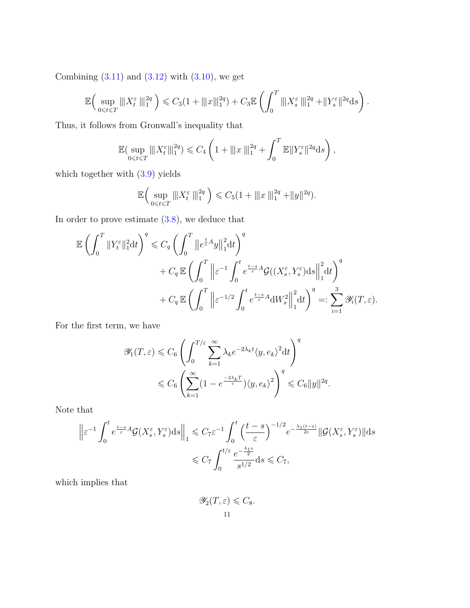Combining  $(3.11)$  and  $(3.12)$  with  $(3.10)$ , we get

$$
\mathbb{E}\Big(\sup_{0\leq t\leq T}\|X_t^{\varepsilon}\|_1^{2q}\Big)\leqslant C_3(1+\|x\|_1^{2q})+C_3\mathbb{E}\left(\int_0^T\|X_s^{\varepsilon}\|_1^{2q}+\|Y_s^{\varepsilon}\|^{2q}\mathrm{d} s\right).
$$

Thus, it follows from Gronwall's inequality that

$$
\mathbb{E}(\sup_{0 \leq t \leq T} \|X_t^{\varepsilon}\|_1^{2q}) \leq C_4 \left(1 + \|x\|_1^{2q} + \int_0^T \mathbb{E} \|Y_s^{\varepsilon}\|^{2q} ds\right),
$$

which together with (3.9) yields

$$
\mathbb{E}\Big(\sup_{0\leq t\leq T}\|X_t^{\varepsilon}\,\|_1^{2q}\Big)\leqslant C_5(1+\|x\,\|_1^{2q}+\|y\|^{2q}).
$$

In order to prove estimate (3.8), we deduce that

$$
\mathbb{E}\left(\int_0^T \|Y_t^{\varepsilon}\|_1^2 dt\right)^q \leq C_q \left(\int_0^T \left\|e^{\frac{t}{\varepsilon}A}y\right\|_1^2 dt\right)^q
$$
  
+  $C_q \mathbb{E}\left(\int_0^T \left\|\varepsilon^{-1}\int_0^t e^{\frac{t-s}{\varepsilon}A} \mathcal{G}((X_s^{\varepsilon}, Y_s^{\varepsilon})ds\right\|_1^2 dt\right)^q$   
+  $C_q \mathbb{E}\left(\int_0^T \left\|\varepsilon^{-1/2}\int_0^t e^{\frac{t-s}{\varepsilon}A} dW_s^2\right\|_1^2 dt\right)^q =: \sum_{i=1}^3 \mathscr{Y}_i(T, \varepsilon).$ 

For the first term, we have

$$
\begin{split} \mathscr{Y}_1(T,\varepsilon)&\leqslant C_6\left(\int_0^{T/\varepsilon}\sum_{k=1}^\infty\lambda_k e^{-2\lambda_k t}\langle y,e_k\rangle^2\mathrm{d} t\right)^q\\ &\leqslant C_6\left(\sum_{k=1}^\infty(1-e^{\frac{-2\lambda_k T}{\varepsilon}})\langle y,e_k\rangle^2\right)^q\leqslant C_6\|y\|^{2q}.\end{split}
$$

Note that

$$
\left\| \varepsilon^{-1} \int_0^t e^{\frac{t-s}{\varepsilon} A} \mathcal{G}(X_s^{\varepsilon}, Y_s^{\varepsilon}) ds \right\|_1 \leqslant C_7 \varepsilon^{-1} \int_0^t \left( \frac{t-s}{\varepsilon} \right)^{-1/2} e^{-\frac{\lambda_1 (t-s)}{2\varepsilon}} \| \mathcal{G}(X_s^{\varepsilon}, Y_s^{\varepsilon}) \| ds
$$
  

$$
\leqslant C_7 \int_0^{t/\varepsilon} \frac{e^{-\frac{\lambda_1 s}{2}}}{s^{1/2}} ds \leqslant C_7,
$$

which implies that

$$
\mathscr{Y}_2(T,\varepsilon) \leqslant C_8.
$$
  
11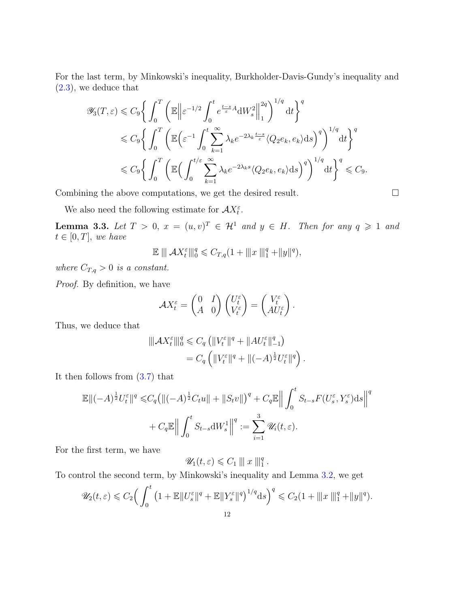For the last term, by Minkowski's inequality, Burkholder-Davis-Gundy's inequality and (2.3), we deduce that

$$
\mathscr{Y}_{3}(T,\varepsilon) \leq C_{9} \bigg\{ \int_{0}^{T} \bigg( \mathbb{E} \bigg\| \varepsilon^{-1/2} \int_{0}^{t} e^{\frac{t-s}{\varepsilon} A} \mathrm{d}W_{s}^{2} \bigg\|_{1}^{2q} \bigg)^{1/q} \mathrm{d}t \bigg\}^{q}
$$
  

$$
\leq C_{9} \bigg\{ \int_{0}^{T} \bigg( \mathbb{E} \Big( \varepsilon^{-1} \int_{0}^{t} \sum_{k=1}^{\infty} \lambda_{k} e^{-2\lambda_{k} \frac{t-s}{\varepsilon}} \langle Q_{2} e_{k}, e_{k} \rangle \mathrm{d}s \bigg)^{q} \bigg)^{1/q} \mathrm{d}t \bigg\}^{q}
$$
  

$$
\leq C_{9} \bigg\{ \int_{0}^{T} \bigg( \mathbb{E} \Big( \int_{0}^{t/\varepsilon} \sum_{k=1}^{\infty} \lambda_{k} e^{-2\lambda_{k}s} \langle Q_{2} e_{k}, e_{k} \rangle \mathrm{d}s \bigg)^{q} \bigg)^{1/q} \mathrm{d}t \bigg\}^{q} \leq C_{9}.
$$

Combining the above computations, we get the desired result.

$$
\qquad \qquad \Box
$$

We also need the following estimate for  $AX_t^{\varepsilon}$ .

**Lemma 3.3.** *Let*  $T > 0$ ,  $x = (u, v)^T \in \mathcal{H}^1$  and  $y \in H$ . Then for any  $q \geq 1$  and  $t \in [0, T]$ *, we have* 

$$
\mathbb{E} \, ||| \, AX_t^{\varepsilon} |||_0^q \leqslant C_{T,q} (1 + |||x||_1^q + ||y||^q),
$$

*where*  $C_{T,q} > 0$  *is a constant.* 

*Proof.* By definition, we have

$$
\mathcal{A}X_t^{\varepsilon} = \begin{pmatrix} 0 & I \\ A & 0 \end{pmatrix} \begin{pmatrix} U_t^{\varepsilon} \\ V_t^{\varepsilon} \end{pmatrix} = \begin{pmatrix} V_t^{\varepsilon} \\ AU_t^{\varepsilon} \end{pmatrix}.
$$

Thus, we deduce that

$$
\|AX_t^{\varepsilon}\|_{0}^{q} \leq C_q \left( \|V_t^{\varepsilon}\|^q + \|AU_t^{\varepsilon}\|_{-1}^q \right)
$$
  
=  $C_q \left( \|V_t^{\varepsilon}\|^q + \|(-A)^{\frac{1}{2}} U_t^{\varepsilon}\|^q \right).$ 

It then follows from (3.7) that

$$
\mathbb{E}\|(-A)^{\frac{1}{2}}U_t^{\varepsilon}\|^q \leq C_q \left(\|(-A)^{\frac{1}{2}}C_t u\| + \|S_t v\|\right)^q + C_q \mathbb{E}\Big\|\int_0^t S_{t-s}F(U_s^{\varepsilon}, Y_s^{\varepsilon})ds\Big\|^q
$$
  
+ 
$$
C_q \mathbb{E}\Big\|\int_0^t S_{t-s}dW_s^1\Big\|^q := \sum_{i=1}^3 \mathscr{U}_i(t,\varepsilon).
$$

For the first term, we have

$$
\mathscr{U}_1(t,\varepsilon)\leqslant C_1\parallel x\parallel_1^q.
$$

To control the second term, by Minkowski's inequality and Lemma 3.2, we get

$$
\mathscr{U}_2(t,\varepsilon) \leq C_2 \Big( \int_0^t \left( 1 + \mathbb{E} \| U_s^{\varepsilon} \|^q + \mathbb{E} \| Y_s^{\varepsilon} \|^q \right)^{1/q} \mathrm{d}s \Big)^q \leq C_2 (1 + \| \| x \|^q_1 + \| y \|^q).
$$
  
12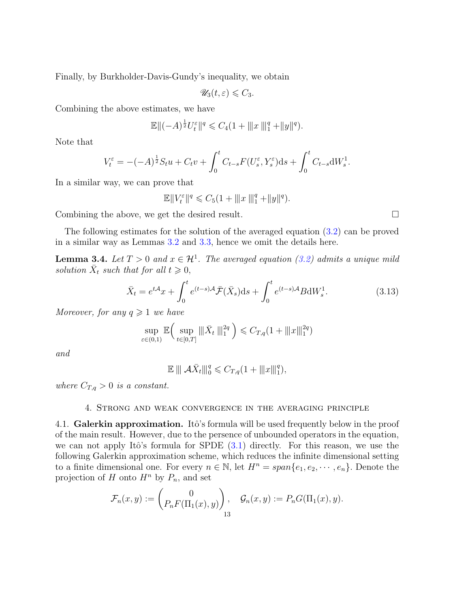Finally, by Burkholder-Davis-Gundy's inequality, we obtain

$$
\mathscr{U}_3(t,\varepsilon)\leqslant C_3.
$$

Combining the above estimates, we have

$$
\mathbb{E}\|( -A)^{\frac{1}{2}}U_t^{\varepsilon}\|^q \leqslant C_4(1+\|x\|_1^q+\|y\|^q).
$$

Note that

$$
V_t^{\varepsilon} = -(-A)^{\frac{1}{2}} S_t u + C_t v + \int_0^t C_{t-s} F(U_s^{\varepsilon}, Y_s^{\varepsilon}) ds + \int_0^t C_{t-s} dW_s^1.
$$

In a similar way, we can prove that

$$
\mathbb{E}||V_t^{\varepsilon}||^q \leq C_5(1+\|x\|_1^q+\|y\|^q).
$$

Combining the above, we get the desired result.

The following estimates for the solution of the averaged equation (3.2) can be proved in a similar way as Lemmas 3.2 and 3.3, hence we omit the details here.

**Lemma 3.4.** *Let*  $T > 0$  *and*  $x \in \mathcal{H}^1$ . The averaged equation (3.2) admits a unique mild *solution*  $\bar{X}_t$  *such that for all*  $t \geq 0$ *,* 

$$
\bar{X}_t = e^{t\mathcal{A}}x + \int_0^t e^{(t-s)\mathcal{A}} \bar{\mathcal{F}}(\bar{X}_s) ds + \int_0^t e^{(t-s)\mathcal{A}} B dW_s^1.
$$
\n(3.13)

*Moreover, for any*  $q \geq 1$  *we have* 

$$
\sup_{\varepsilon \in (0,1)} \mathbb{E} \left( \sup_{t \in [0,T]} \| \bar{X}_t \|^2_1^q \right) \leq C_{T,q} (1 + \| |x\|_1^{2q})
$$

*and*

$$
\mathbb{E} \, ||| \, \mathcal{A}\bar{X}_t |||_0^q \leq C_{T,q} (1 + |||x||_1^q),
$$

*where*  $C_{T,q} > 0$  *is a constant.* 

### 4. Strong and weak convergence in the averaging principle

4.1. **Galerkin approximation.** Itô's formula will be used frequently below in the proof of the main result. However, due to the persence of unbounded operators in the equation, we can not apply Itô's formula for SPDE  $(3.1)$  directly. For this reason, we use the following Galerkin approximation scheme, which reduces the infinite dimensional setting to a finite dimensional one. For every  $n \in \mathbb{N}$ , let  $H^n = span\{e_1, e_2, \dots, e_n\}$ . Denote the projection of *H* onto  $H^n$  by  $P_n$ , and set

$$
\mathcal{F}_n(x,y) := \begin{pmatrix} 0 \\ P_n F(\Pi_1(x),y) \end{pmatrix}, \quad \mathcal{G}_n(x,y) := P_n G(\Pi_1(x),y).
$$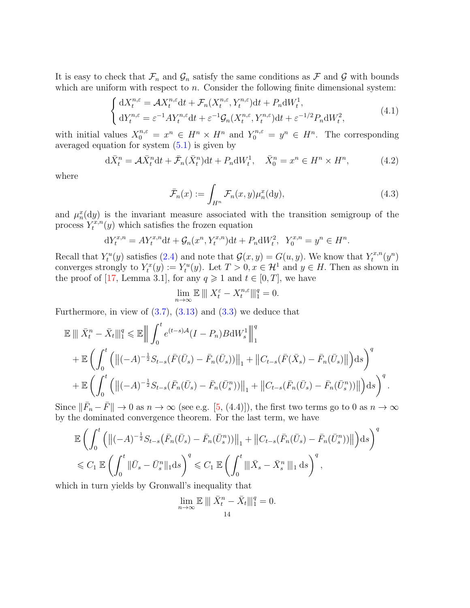It is easy to check that  $\mathcal{F}_n$  and  $\mathcal{G}_n$  satisfy the same conditions as  $\mathcal F$  and  $\mathcal G$  with bounds which are uniform with respect to *n*. Consider the following finite dimensional system:

$$
\begin{cases} dX_t^{n,\varepsilon} = \mathcal{A}X_t^{n,\varepsilon}dt + \mathcal{F}_n(X_t^{n,\varepsilon}, Y_t^{n,\varepsilon})dt + P_n dW_t^1, \\ dY_t^{n,\varepsilon} = \varepsilon^{-1} A Y_t^{n,\varepsilon} dt + \varepsilon^{-1} \mathcal{G}_n(X_t^{n,\varepsilon}, Y_t^{n,\varepsilon})dt + \varepsilon^{-1/2} P_n dW_t^2, \end{cases} \tag{4.1}
$$

with initial values  $X_0^{n,\varepsilon} = x^n \in H^n \times H^n$  and  $Y_0^{n,\varepsilon} = y^n \in H^n$ . The corresponding averaged equation for system  $(5.1)$  is given by

$$
d\bar{X}_t^n = \mathcal{A}\bar{X}_t^n dt + \bar{\mathcal{F}}_n(\bar{X}_t^n) dt + P_n dW_t^1, \quad \bar{X}_0^n = x^n \in H^n \times H^n,
$$
\n(4.2)

where

$$
\bar{\mathcal{F}}_n(x) := \int_{H^n} \mathcal{F}_n(x, y) \mu_n^x(\mathrm{d}y),\tag{4.3}
$$

and  $\mu_n^x(dy)$  is the invariant measure associated with the transition semigroup of the process  $Y_t^{x,n}$  $\tau_t^{x,n}(y)$  which satisfies the frozen equation

$$
dY_t^{x,n} = AY_t^{x,n}dt + \mathcal{G}_n(x^n, Y_t^{x,n})dt + P_n dW_t^2, \ \ Y_0^{x,n} = y^n \in H^n.
$$

Recall that  $Y_t^u(y)$  satisfies (2.4) and note that  $\mathcal{G}(x, y) = G(u, y)$ . We know that  $Y_t^{x,n}$  $\sigma_t^{x,n}(y^n)$ converges strongly to  $Y_t^x(y) := Y_t^u(y)$ . Let  $T > 0, x \in \mathcal{H}^1$  and  $y \in H$ . Then as shown in the proof of [17, Lemma 3.1], for any  $q \ge 1$  and  $t \in [0, T]$ , we have

$$
\lim_{n \to \infty} \mathbb{E} \parallel \mid X_t^{\varepsilon} - X_t^{n,\varepsilon} \parallel \mid_1^q = 0.
$$

Furthermore, in view of  $(3.7)$ ,  $(3.13)$  and  $(3.3)$  we deduce that

$$
\mathbb{E} \|\bar{X}_{t}^{n} - \bar{X}_{t}\|_{1}^{q} \leq \mathbb{E} \left\| \int_{0}^{t} e^{(t-s)A} (I - P_{n}) B dW_{s}^{1} \right\|_{1}^{q} \n+ \mathbb{E} \left( \int_{0}^{t} \left( \|(-A)^{-\frac{1}{2}} S_{t-s}(\bar{F}(\bar{U}_{s}) - \bar{F}_{n}(\bar{U}_{s})) \|_{1} + \|C_{t-s}(\bar{F}(\bar{X}_{s}) - \bar{F}_{n}(\bar{U}_{s}) \| \right) ds \right)^{q} \n+ \mathbb{E} \left( \int_{0}^{t} \left( \|(-A)^{-\frac{1}{2}} S_{t-s}(\bar{F}_{n}(\bar{U}_{s}) - \bar{F}_{n}(\bar{U}_{s}^{n})) \|_{1} + \|C_{t-s}(\bar{F}_{n}(\bar{U}_{s}) - \bar{F}_{n}(\bar{U}_{s}^{n})) \| \right) ds \right)^{q}.
$$

Since  $\|\bar{F}_n - \bar{F}\| \to 0$  as  $n \to \infty$  (see e.g. [5, (4.4)]), the first two terms go to 0 as  $n \to \infty$ by the dominated convergence theorem. For the last term, we have

$$
\mathbb{E}\left(\int_{0}^{t}\left(\left\|(-A)^{-\frac{1}{2}}S_{t-s}\left(\bar{F}_{n}(\bar{U}_{s})-\bar{F}_{n}(\bar{U}_{s}^{n})\right)\right\|_{1}+\left\|C_{t-s}(\bar{F}_{n}(\bar{U}_{s})-\bar{F}_{n}(\bar{U}_{s}^{n})\right)\right\|_{2}\right)d\sigma\right)^{q}
$$
  
\$\leq C\_{1}\mathbb{E}\left(\int\_{0}^{t}\|\bar{U}\_{s}-\bar{U}\_{s}^{n}\|\_{1}\mathrm{d}s\right)^{q}\leq C\_{1}\mathbb{E}\left(\int\_{0}^{t}\|\bar{X}\_{s}-\bar{X}\_{s}^{n}\|\_{1}\mathrm{d}s\right)^{q},

which in turn yields by Gronwall's inequality that

$$
\lim_{n \to \infty} \mathbb{E} \left\| \left\| \bar{X}_t^n - \bar{X}_t \right\| \right\|_1^q = 0.
$$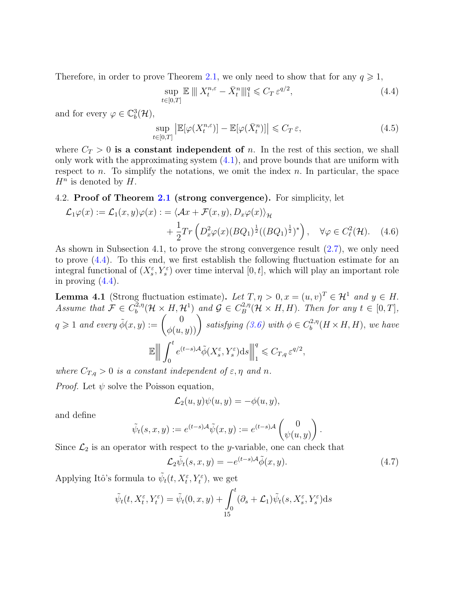Therefore, in order to prove Theorem 2.1, we only need to show that for any  $q \geq 1$ ,

$$
\sup_{t \in [0,T]} \mathbb{E} \left[ \| \, X_t^{n,\varepsilon} - \bar{X}_t^n \right] \|_1^q \leqslant C_T \, \varepsilon^{q/2},\tag{4.4}
$$

and for every  $\varphi \in \mathbb{C}^3_b(\mathcal{H}),$ 

$$
\sup_{t \in [0,T]} \left| \mathbb{E}[\varphi(X_t^{n,\varepsilon})] - \mathbb{E}[\varphi(\bar{X}_t^n)] \right| \leqslant C_T \,\varepsilon,\tag{4.5}
$$

where  $C_T > 0$  is a constant independent of *n*. In the rest of this section, we shall only work with the approximating system  $(4.1)$ , and prove bounds that are uniform with respect to *n*. To simplify the notations, we omit the index *n.* In particular, the space  $H^n$  is denoted by  $H$ .

### 4.2. **Proof of Theorem 2.1 (strong convergence).** For simplicity, let

$$
\mathcal{L}_1\varphi(x) := \mathcal{L}_1(x, y)\varphi(x) := \langle \mathcal{A}x + \mathcal{F}(x, y), D_x\varphi(x) \rangle_{\mathcal{H}}
$$
  
 
$$
+ \frac{1}{2}Tr\left(D_x^2\varphi(x)(BQ_1)^{\frac{1}{2}}((BQ_1)^{\frac{1}{2}})^*\right), \quad \forall \varphi \in C_{\ell}^2(\mathcal{H}). \quad (4.6)
$$

As shown in Subsection 4.1, to prove the strong convergence result (2.7), we only need to prove (4.4). To this end, we first establish the following fluctuation estimate for an integral functional of  $(X_s^{\varepsilon}, Y_s^{\varepsilon})$  over time interval  $[0, t]$ , which will play an important role in proving  $(4.4)$ .

**Lemma 4.1** (Strong fluctuation estimate). Let  $T, \eta > 0, x = (u, v)^T \in \mathcal{H}^1$  and  $y \in H$ . *Assume that*  $\mathcal{F} \in C_b^{2,\eta}$  $\mathcal{G}_b^{(2,\eta)}(\mathcal{H} \times H, \mathcal{H}^1)$  *and*  $\mathcal{G} \in C_B^{2,\eta}$  $B^{2,\eta}(\mathcal{H} \times H, H)$ *. Then for any*  $t \in [0, T]$ *,*  $q \geq 1$  *and every*  $\tilde{\phi}(x, y) := \begin{pmatrix} 0 \\ \phi(u, y) \end{pmatrix}$  *satisfying (3.6) with*  $\phi \in C_b^{2, \eta}$  $b^{2,\eta}(H \times H, H)$ , we have  $\mathbb E$  $\begin{array}{c} \begin{array}{c} \begin{array}{c} \end{array} \\ \begin{array}{c} \end{array} \end{array} \end{array}$  $\begin{array}{c} \hline \end{array}$  $\blacksquare$  $\int_0^t$ 0  $e^{(t-s)\mathcal{A}}\tilde{\phi}(X_{s}^{\varepsilon},Y_{s}^{\varepsilon})\mathrm{d}s$   $\begin{array}{c} \hline \end{array}$ *q*  $C_{T,q} \varepsilon^{q/2},$ 

*where*  $C_{T,q} > 0$  *is a constant independent of*  $\varepsilon, \eta$  *and*  $n$ *. Proof.* Let  $\psi$  solve the Poisson equation,

$$
\mathcal{L}_2(u, y)\psi(u, y) = -\phi(u, y),
$$

and define

$$
\tilde{\psi}_t(s,x,y) := e^{(t-s)\mathcal{A}} \tilde{\psi}(x,y) := e^{(t-s)\mathcal{A}} \begin{pmatrix} 0 \\ \psi(u,y) \end{pmatrix}.
$$

Since  $\mathcal{L}_2$  is an operator with respect to the *y*-variable, one can check that

$$
\mathcal{L}_2 \tilde{\psi}_t(s, x, y) = -e^{(t-s)\mathcal{A}} \tilde{\phi}(x, y). \tag{4.7}
$$

Applying Itô's formula to  $\tilde{\psi}_t(t, X_t^{\varepsilon}, Y_t^{\varepsilon})$ , we get

$$
\tilde{\psi}_t(t, X_t^{\varepsilon}, Y_t^{\varepsilon}) = \tilde{\psi}_t(0, x, y) + \int_0^t (\partial_s + \mathcal{L}_1) \tilde{\psi}_t(s, X_s^{\varepsilon}, Y_s^{\varepsilon}) ds
$$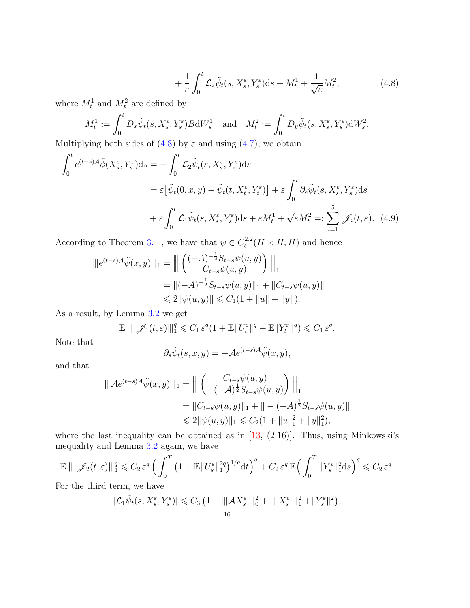$$
+\frac{1}{\varepsilon} \int_0^t \mathcal{L}_2 \tilde{\psi}_t(s, X_s^{\varepsilon}, Y_s^{\varepsilon}) ds + M_t^1 + \frac{1}{\sqrt{\varepsilon}} M_t^2,
$$
\n(4.8)

where  $M_t^1$  and  $M_t^2$  are defined by

$$
M_t^1 := \int_0^t D_x \tilde{\psi}_t(s, X_s^{\varepsilon}, Y_s^{\varepsilon}) B \mathrm{d} W_s^1 \quad \text{and} \quad M_t^2 := \int_0^t D_y \tilde{\psi}_t(s, X_s^{\varepsilon}, Y_s^{\varepsilon}) \mathrm{d} W_s^2.
$$

Multiplying both sides of  $(4.8)$  by  $\varepsilon$  and using  $(4.7)$ , we obtain

$$
\int_{0}^{t} e^{(t-s)A} \tilde{\phi}(X_{s}^{\varepsilon}, Y_{s}^{\varepsilon}) ds = -\int_{0}^{t} \mathcal{L}_{2} \tilde{\psi}_{t}(s, X_{s}^{\varepsilon}, Y_{s}^{\varepsilon}) ds
$$
\n
$$
= \varepsilon \left[ \tilde{\psi}_{t}(0, x, y) - \tilde{\psi}_{t}(t, X_{t}^{\varepsilon}, Y_{t}^{\varepsilon}) \right] + \varepsilon \int_{0}^{t} \partial_{s} \tilde{\psi}_{t}(s, X_{s}^{\varepsilon}, Y_{s}^{\varepsilon}) ds
$$
\n
$$
+ \varepsilon \int_{0}^{t} \mathcal{L}_{1} \tilde{\psi}_{t}(s, X_{s}^{\varepsilon}, Y_{s}^{\varepsilon}) ds + \varepsilon M_{t}^{1} + \sqrt{\varepsilon} M_{t}^{2} =: \sum_{i=1}^{5} \mathcal{J}_{i}(t, \varepsilon). \tag{4.9}
$$

According to Theorem 3.1, we have that  $\psi \in C^{2,2}_{\ell}$  $\ell^{2,2}(H \times H, H)$  and hence

$$
\begin{aligned} \|\|e^{(t-s)\mathcal{A}}\tilde{\psi}(x,y)\|\|_1 &= \Big\| \begin{pmatrix} (-A)^{-\frac{1}{2}}S_{t-s}\psi(u,y) \\ C_{t-s}\psi(u,y) \end{pmatrix} \Big\|_1 \\ &= \|(-A)^{-\frac{1}{2}}S_{t-s}\psi(u,y)\|_1 + \|C_{t-s}\psi(u,y)\| \\ &\leqslant 2\|\psi(u,y)\| \leqslant C_1(1+\|u\|+\|y\|). \end{aligned}
$$

As a result, by Lemma 3.2 we get

 $\mathbb{E} \left\| \mathcal{J}_1(t,\varepsilon) \right\|_1^q \leq C_1 \, \varepsilon^q (1 + \mathbb{E} \|U_t^{\varepsilon}\|^q + \mathbb{E} \|Y_t^{\varepsilon}\|^q) \leq C_1 \, \varepsilon^q.$ 

Note that

$$
\partial_s \tilde{\psi}_t(s, x, y) = -\mathcal{A}e^{(t-s)\mathcal{A}} \tilde{\psi}(x, y),
$$

and that

$$
\begin{aligned} \|\mathcal{A}e^{(t-s)\mathcal{A}}\tilde{\psi}(x,y)\|_1 &= \Big\|\left(\begin{matrix} C_{t-s}\psi(u,y)\\ -(-\mathcal{A})^{\frac{1}{2}}S_{t-s}\psi(u,y)\end{matrix}\right)\Big\|_1\\ &=\|C_{t-s}\psi(u,y)\|_1+\| -(-\mathcal{A})^{\frac{1}{2}}S_{t-s}\psi(u,y)\|\\ &\leqslant 2\|\psi(u,y)\|_1\leqslant C_2(1+\|u\|_1^2+\|y\|_1^2), \end{aligned}
$$

where the last inequality can be obtained as in  $[13, (2.16)]$ . Thus, using Minkowski's inequality and Lemma 3.2 again, we have

$$
\mathbb{E} \parallel \mathscr{J}_2(t,\varepsilon) \parallel_1^q \leqslant C_2 \varepsilon^q \left( \int_0^T \left( 1 + \mathbb{E} \Vert U_s^{\varepsilon} \Vert_1^{2q} \right)^{1/q} dt \right)^q + C_2 \varepsilon^q \, \mathbb{E} \left( \int_0^T \Vert Y_s^{\varepsilon} \Vert_1^{2} ds \right)^q \leqslant C_2 \varepsilon^q.
$$

For the third term, we have

$$
|\mathcal{L}_1 \tilde{\psi}_t(s, X_s^{\varepsilon}, Y_s^{\varepsilon})| \leqslant C_3 \left(1 + ||| \mathcal{A} X_s^{\varepsilon} |||_0^2 + ||| X_s^{\varepsilon} |||_1^2 + ||Y_s^{\varepsilon}||^2 \right),
$$
  
16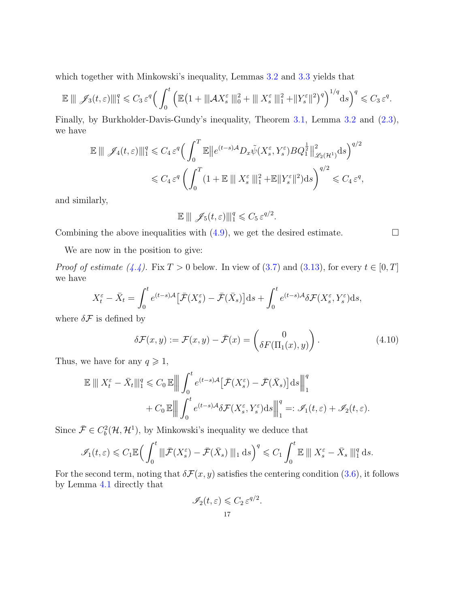which together with Minkowski's inequality, Lemmas 3.2 and 3.3 yields that

$$
\mathbb{E} \parallel \mathscr{J}_3(t,\varepsilon) \parallel_1^q \leq C_3 \varepsilon^q \Big( \int_0^t \Big( \mathbb{E} \big( 1 + \parallel \hspace{-0.06cm} \vert A X_s^{\varepsilon} \parallel \hspace{-0.06cm} \vert_0^2 + \parallel \hspace{-0.06cm} \vert X_s^{\varepsilon} \parallel \hspace{-0.06cm} \vert_1^2 + \parallel Y_s^{\varepsilon} \parallel^2 \Big)^q \Big)^{1/q} \mathrm{d}s \Big)^q \leq C_3 \varepsilon^q.
$$

Finally, by Burkholder-Davis-Gundy's inequality, Theorem 3.1, Lemma 3.2 and (2.3), we have

$$
\mathbb{E} \parallel \mathscr{J}_4(t,\varepsilon) \parallel_1^q \leq C_4 \varepsilon^q \Big( \int_0^T \mathbb{E} \Vert e^{(t-s)A} D_x \tilde{\psi}(X_s^{\varepsilon}, Y_s^{\varepsilon}) B Q_1^{\frac{1}{2}} \Vert_{\mathscr{L}_2(\mathcal{H}^1)}^2 ds \Big)^{q/2} \leq C_4 \varepsilon^q \left( \int_0^T (1 + \mathbb{E} \parallel X_s^{\varepsilon} \parallel_1^2 + \mathbb{E} \|Y_s^{\varepsilon}\|^2) ds \right)^{q/2} \leq C_4 \varepsilon^q,
$$

and similarly,

$$
\mathbb{E} \parallel \mathscr{J}_5(t,\varepsilon) \parallel_1^q \leq C_5 \varepsilon^{q/2}.
$$

Combining the above inequalities with  $(4.9)$ , we get the desired estimate.

We are now in the position to give:

*Proof of estimate* (4.4). Fix  $T > 0$  below. In view of (3.7) and (3.13), for every  $t \in [0, T]$ we have

$$
X_t^{\varepsilon} - \bar{X}_t = \int_0^t e^{(t-s)\mathcal{A}} \left[ \bar{\mathcal{F}}(X_s^{\varepsilon}) - \bar{\mathcal{F}}(\bar{X}_s) \right] ds + \int_0^t e^{(t-s)\mathcal{A}} \delta \mathcal{F}(X_s^{\varepsilon}, Y_s^{\varepsilon}) ds,
$$

where  $\delta \mathcal{F}$  is defined by

$$
\delta \mathcal{F}(x, y) := \mathcal{F}(x, y) - \bar{\mathcal{F}}(x) = \begin{pmatrix} 0 \\ \delta F(\Pi_1(x), y) \end{pmatrix}.
$$
 (4.10)

Thus, we have for any  $q \geq 1$ ,

$$
\mathbb{E} \parallel X_t^{\varepsilon} - \bar{X}_t \parallel_1^q \leq C_0 \mathbb{E} \parallel \int_0^t e^{(t-s)\mathcal{A}} \left[ \bar{\mathcal{F}}(X_s^{\varepsilon}) - \bar{\mathcal{F}}(\bar{X}_s) \right] ds \parallel_1^q
$$
  
+  $C_0 \mathbb{E} \parallel \int_0^t e^{(t-s)\mathcal{A}} \delta \mathcal{F}(X_s^{\varepsilon}, Y_s^{\varepsilon}) ds \parallel_1^q =: \mathcal{I}_1(t, \varepsilon) + \mathcal{I}_2(t, \varepsilon).$ 

Since  $\bar{\mathcal{F}} \in C_b^2(\mathcal{H}, \mathcal{H}^1)$ , by Minkowski's inequality we deduce that

$$
\mathscr{I}_1(t,\varepsilon) \leqslant C_1 \mathbb{E} \Big( \int_0^t \|\bar{\mathcal{F}}(X_s^{\varepsilon}) - \bar{\mathcal{F}}(\bar{X}_s) \|_{1} \, \mathrm{d} s \Big)^q \leqslant C_1 \int_0^t \mathbb{E} \|\, X_s^{\varepsilon} - \bar{X}_s \,\|_{1}^q \, \mathrm{d} s.
$$

For the second term, noting that  $\delta \mathcal{F}(x, y)$  satisfies the centering condition (3.6), it follows by Lemma 4.1 directly that

$$
\mathscr{I}_2(t,\varepsilon)\leqslant C_2\,\varepsilon^{q/2}.
$$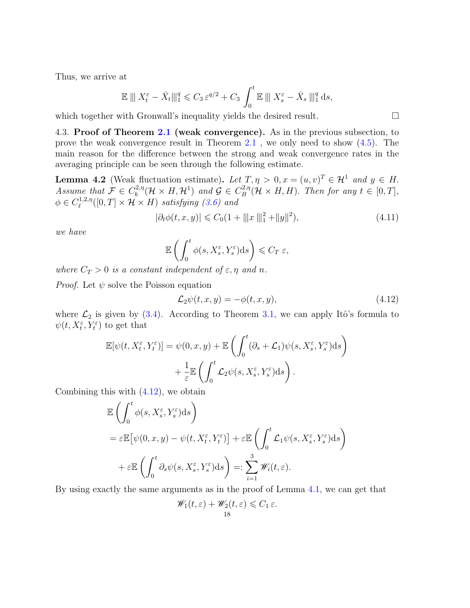Thus, we arrive at

$$
\mathbb{E} \parallel \! \parallel X_t^{\varepsilon} - \bar{X}_t \parallel \! \parallel_1^q \! \leq C_3 \, \varepsilon^{q/2} + C_3 \int_0^t \! \mathbb{E} \parallel \! \parallel X_s^{\varepsilon} - \bar{X}_s \parallel \! \parallel_1^q \mathrm{d}s,
$$

which together with Gronwall's inequality yields the desired result.

4.3. **Proof of Theorem 2.1 (weak convergence).** As in the previous subsection, to prove the weak convergence result in Theorem 2.1 , we only need to show (4.5). The main reason for the difference between the strong and weak convergence rates in the averaging principle can be seen through the following estimate.

**Lemma 4.2** (Weak fluctuation estimate). Let  $T, \eta > 0, x = (u, v)^T \in \mathcal{H}^1$  and  $y \in H$ . *Assume that*  $\mathcal{F} \in C_b^{2,\eta}$  $\mathcal{G}_b^{(2,\eta)}(\mathcal{H} \times H, \mathcal{H}^1)$  and  $\mathcal{G} \in C^{2,\eta}_B$  $B^{2,\eta}(\mathcal{H} \times H, H)$ *. Then for any*  $t \in [0, T]$ *,*  $\phi \in C^{1,2,\eta}_{\ell}$  $\mathcal{H}_{\ell}^{(1,2,\eta)}([0,T]\times\mathcal{H}\times H)$  *satisfying* (3.6) and

$$
|\partial_t \phi(t, x, y)| \leq C_0 (1 + ||x||_1^2 + ||y||^2), \tag{4.11}
$$

*we have*

$$
\mathbb{E}\left(\int_0^t \phi(s, X_s^{\varepsilon}, Y_s^{\varepsilon}) ds\right) \leqslant C_T \varepsilon,
$$

*where*  $C_T > 0$  *is a constant independent of*  $\varepsilon, \eta$  *and*  $n$ *.* 

*Proof.* Let  $\psi$  solve the Poisson equation

$$
\mathcal{L}_2\psi(t,x,y) = -\phi(t,x,y),\tag{4.12}
$$

where  $\mathcal{L}_2$  is given by (3.4). According to Theorem 3.1, we can apply Itô's formula to  $\psi(t, X_t^{\varepsilon}, Y_t^{\varepsilon})$  to get that

$$
\mathbb{E}[\psi(t, X_t^{\varepsilon}, Y_t^{\varepsilon})] = \psi(0, x, y) + \mathbb{E}\left(\int_0^t (\partial_s + \mathcal{L}_1)\psi(s, X_s^{\varepsilon}, Y_s^{\varepsilon})ds\right) + \frac{1}{\varepsilon} \mathbb{E}\left(\int_0^t \mathcal{L}_2 \psi(s, X_s^{\varepsilon}, Y_s^{\varepsilon})ds\right).
$$

Combining this with  $(4.12)$ , we obtain

$$
\mathbb{E}\left(\int_0^t \phi(s, X_s^{\varepsilon}, Y_s^{\varepsilon}) ds\right)
$$
  
=  $\varepsilon \mathbb{E}\left[\psi(0, x, y) - \psi(t, X_t^{\varepsilon}, Y_t^{\varepsilon})\right] + \varepsilon \mathbb{E}\left(\int_0^t \mathcal{L}_1 \psi(s, X_s^{\varepsilon}, Y_s^{\varepsilon}) ds\right)$   
+  $\varepsilon \mathbb{E}\left(\int_0^t \partial_s \psi(s, X_s^{\varepsilon}, Y_s^{\varepsilon}) ds\right) =: \sum_{i=1}^3 \mathscr{W}_i(t, \varepsilon).$ 

By using exactly the same arguments as in the proof of Lemma 4.1, we can get that

$$
\mathscr{W}_1(t,\varepsilon) + \mathscr{W}_2(t,\varepsilon) \leqslant C_1 \varepsilon.
$$
  
18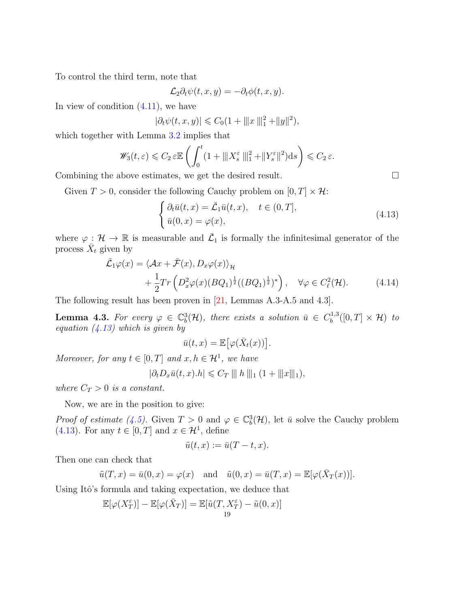To control the third term, note that

$$
\mathcal{L}_2 \partial_t \psi(t, x, y) = -\partial_t \phi(t, x, y).
$$

In view of condition  $(4.11)$ , we have

$$
|\partial_t \psi(t, x, y)| \leq C_0 (1 + ||x||_1^2 + ||y||^2),
$$

which together with Lemma  $3.2$  implies that

$$
\mathscr{W}_3(t,\varepsilon) \leqslant C_2 \varepsilon \mathbb{E}\left(\int_0^t (1+\|X_s^{\varepsilon}\|_1^2+\|Y_s^{\varepsilon}\|^2)ds\right) \leqslant C_2 \varepsilon.
$$

Combining the above estimates, we get the desired result.

Given  $T > 0$ , consider the following Cauchy problem on  $[0, T] \times \mathcal{H}$ :

$$
\begin{cases} \partial_t \bar{u}(t,x) = \bar{\mathcal{L}}_1 \bar{u}(t,x), \quad t \in (0,T], \\ \bar{u}(0,x) = \varphi(x), \end{cases}
$$
\n(4.13)

where  $\varphi : \mathcal{H} \to \mathbb{R}$  is measurable and  $\overline{\mathcal{L}}_1$  is formally the infinitesimal generator of the process  $\overline{X}_t$  given by

$$
\bar{\mathcal{L}}_1\varphi(x) = \langle \mathcal{A}x + \bar{\mathcal{F}}(x), D_x\varphi(x) \rangle_{\mathcal{H}} \n+ \frac{1}{2}Tr\left(D_x^2\varphi(x)(BQ_1)^{\frac{1}{2}}((BQ_1)^{\frac{1}{2}})^*\right), \quad \forall \varphi \in C_{\ell}^2(\mathcal{H}).
$$
\n(4.14)

The following result has been proven in [21, Lemmas A.3-A.5 and 4.3].

**Lemma 4.3.** For every  $\varphi \in \mathbb{C}^3_b(\mathcal{H})$ , there exists a solution  $\bar{u} \in C_b^{1,3}$  $b^{(1,3)}([0,T] \times \mathcal{H})$  *to equation (4.13) which is given by*

$$
\bar{u}(t,x) = \mathbb{E} \big[ \varphi(\bar{X}_t(x)) \big].
$$

*Moreover, for any*  $t \in [0, T]$  *and*  $x, h \in \mathcal{H}^1$ *, we have* 

$$
|\partial_t D_x \bar{u}(t,x).h| \leq C_T \parallel\!\parallel h \parallel\!\parallel_1 (1 + \parallel\!\parallel x \parallel\!\parallel_1),
$$

*where*  $C_T > 0$  *is a constant.* 

Now, we are in the position to give:

*Proof of estimate (4.5).* Given  $T > 0$  and  $\varphi \in \mathbb{C}^3_b(\mathcal{H})$ , let  $\bar{u}$  solve the Cauchy problem (4.13). For any  $t \in [0, T]$  and  $x \in \mathcal{H}^1$ , define

$$
\tilde{u}(t,x) := \bar{u}(T-t,x).
$$

Then one can check that

$$
\tilde{u}(T, x) = \bar{u}(0, x) = \varphi(x)
$$
 and  $\tilde{u}(0, x) = \bar{u}(T, x) = \mathbb{E}[\varphi(\bar{X}_T(x))].$ 

Using Itô's formula and taking expectation, we deduce that

$$
\mathbb{E}[\varphi(X_T^{\varepsilon})] - \mathbb{E}[\varphi(\bar{X}_T)] = \mathbb{E}[\tilde{u}(T, X_T^{\varepsilon}) - \tilde{u}(0, x)]
$$
<sup>19</sup>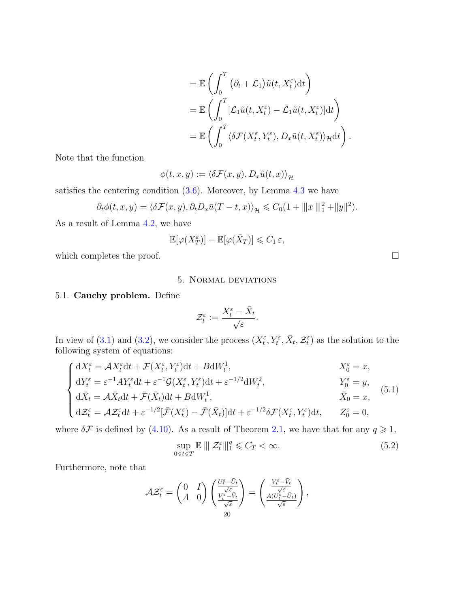$$
= \mathbb{E}\left(\int_0^T (\partial_t + \mathcal{L}_1)\tilde{u}(t, X_t^{\varepsilon}) dt\right)
$$
  
\n
$$
= \mathbb{E}\left(\int_0^T [\mathcal{L}_1\tilde{u}(t, X_t^{\varepsilon}) - \bar{\mathcal{L}}_1\tilde{u}(t, X_t^{\varepsilon})] dt\right)
$$
  
\n
$$
= \mathbb{E}\left(\int_0^T \langle \delta \mathcal{F}(X_t^{\varepsilon}, Y_t^{\varepsilon}), D_x\tilde{u}(t, X_t^{\varepsilon}) \rangle_{\mathcal{H}} dt\right).
$$

Note that the function

$$
\phi(t, x, y) := \langle \delta \mathcal{F}(x, y), D_x \tilde{u}(t, x) \rangle_{\mathcal{H}}
$$

satisfies the centering condition  $(3.6)$ . Moreover, by Lemma 4.3 we have

$$
\partial_t \phi(t, x, y) = \langle \delta \mathcal{F}(x, y), \partial_t D_x \bar{u}(T - t, x) \rangle_{\mathcal{H}} \leq C_0 (1 + ||x||_1^2 + ||y||^2).
$$

As a result of Lemma 4.2, we have

$$
\mathbb{E}[\varphi(X_T^{\varepsilon})] - \mathbb{E}[\varphi(\bar{X}_T)] \leqslant C_1 \varepsilon,
$$

which completes the proof.  $\Box$ 

## 5. Normal deviations

### 5.1. **Cauchy problem.** Define

$$
\mathcal{Z}_t^{\varepsilon} := \frac{X_t^{\varepsilon} - \bar{X}_t}{\sqrt{\varepsilon}}.
$$

In view of (3.1) and (3.2), we consider the process  $(X_t^{\varepsilon}, Y_t^{\varepsilon}, \bar{X}_t, \mathcal{Z}_t^{\varepsilon})$  as the solution to the following system of equations:

$$
\begin{cases}\ndX_t^{\varepsilon} = \mathcal{A}X_t^{\varepsilon}dt + \mathcal{F}(X_t^{\varepsilon}, Y_t^{\varepsilon})dt + BdW_t^1, & X_0^{\varepsilon} = x, \\
dY_t^{\varepsilon} = \varepsilon^{-1}AY_t^{\varepsilon}dt + \varepsilon^{-1}\mathcal{G}(X_t^{\varepsilon}, Y_t^{\varepsilon})dt + \varepsilon^{-1/2}dW_t^2, & Y_0^{\varepsilon} = y, \\
d\bar{X}_t = \mathcal{A}\bar{X}_t dt + \bar{\mathcal{F}}(\bar{X}_t)dt + BdW_t^1, & \bar{X}_0 = x, \\
d\mathcal{Z}_t^{\varepsilon} = \mathcal{A}\mathcal{Z}_t^{\varepsilon}dt + \varepsilon^{-1/2}[\bar{\mathcal{F}}(X_t^{\varepsilon}) - \bar{\mathcal{F}}(\bar{X}_t)]dt + \varepsilon^{-1/2}\delta\mathcal{F}(X_t^{\varepsilon}, Y_t^{\varepsilon})dt, & Z_0^{\varepsilon} = 0,\n\end{cases}
$$
\n(5.1)

where  $\delta \mathcal{F}$  is defined by (4.10). As a result of Theorem 2.1, we have that for any  $q \geq 1$ ,

$$
\sup_{0 \le t \le T} \mathbb{E} \left[ \| \mathcal{Z}_t^{\varepsilon} \|_1^q \le C_T < \infty. \right] \tag{5.2}
$$

Furthermore, note that

$$
\mathcal{A}\mathcal{Z}^{\varepsilon}_t = \begin{pmatrix} 0 & I \\ A & 0 \end{pmatrix} \begin{pmatrix} \frac{U^{\varepsilon}_t - \bar{U}_t}{\sqrt{\varepsilon}} \\ \frac{V^{\varepsilon}_t - \bar{V}_t}{\sqrt{\varepsilon}} \\ 20 \end{pmatrix} = \begin{pmatrix} \frac{V^{\varepsilon}_t - \bar{V}_t}{\sqrt{\varepsilon}} \\ \frac{A(U^{\varepsilon}_t - \bar{U}_t)}{\sqrt{\varepsilon}} \end{pmatrix},
$$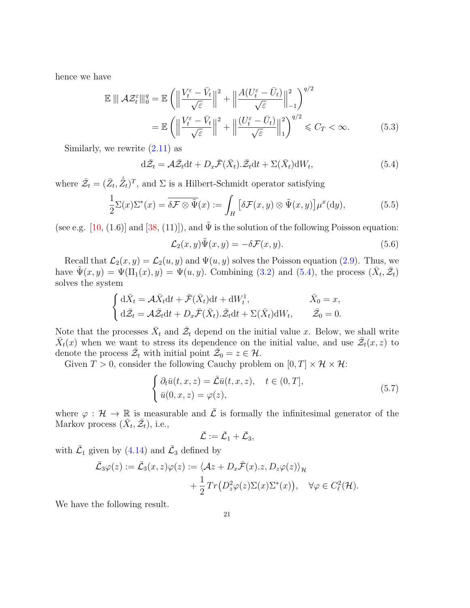hence we have

$$
\mathbb{E} \|\mathcal{A}\mathcal{Z}_{t}^{\varepsilon}\|_{0}^{q} = \mathbb{E} \left( \left\|\frac{V_{t}^{\varepsilon} - \bar{V}_{t}}{\sqrt{\varepsilon}}\right\|^{2} + \left\|\frac{A(U_{t}^{\varepsilon} - \bar{U}_{t})}{\sqrt{\varepsilon}}\right\|_{-1}^{2} \right)^{q/2}
$$

$$
= \mathbb{E} \left( \left\|\frac{V_{t}^{\varepsilon} - \bar{V}_{t}}{\sqrt{\varepsilon}}\right\|^{2} + \left\|\frac{(U_{t}^{\varepsilon} - \bar{U}_{t})}{\sqrt{\varepsilon}}\right\|_{1}^{2} \right)^{q/2} \leq C_{T} < \infty.
$$
 (5.3)

Similarly, we rewrite  $(2.11)$  as

$$
d\bar{\mathcal{Z}}_t = \mathcal{A}\bar{\mathcal{Z}}_t dt + D_x \bar{\mathcal{F}}(\bar{X}_t).\bar{\mathcal{Z}}_t dt + \Sigma(\bar{X}_t) dW_t,
$$
\n(5.4)

where  $\bar{Z}_t = (\bar{Z}_t, \dot{\bar{Z}}_t)^T$ , and  $\Sigma$  is a Hilbert-Schmidt operator satisfying

$$
\frac{1}{2}\Sigma(x)\Sigma^*(x) = \overline{\delta\mathcal{F}\otimes\tilde{\Psi}}(x) := \int_H \left[\delta\mathcal{F}(x,y)\otimes\tilde{\Psi}(x,y)\right] \mu^x(\mathrm{d}y),\tag{5.5}
$$

(see e.g. [10, (1.6)] and [38, (11)]), and  $\tilde{\Psi}$  is the solution of the following Poisson equation:

$$
\mathcal{L}_2(x, y)\tilde{\Psi}(x, y) = -\delta \mathcal{F}(x, y). \tag{5.6}
$$

Recall that  $\mathcal{L}_2(x, y) = \mathcal{L}_2(u, y)$  and  $\Psi(u, y)$  solves the Poisson equation (2.9). Thus, we have  $\tilde{\Psi}(x, y) = \Psi(\Pi_1(x), y) = \Psi(u, y)$ . Combining (3.2) and (5.4), the process  $(\bar{X}_t, \bar{\mathcal{Z}}_t)$ solves the system

$$
\begin{cases} d\bar{X}_t = \mathcal{A}\bar{X}_t dt + \bar{\mathcal{F}}(\bar{X}_t) dt + dW_t^1, & \bar{X}_0 = x, \\ d\bar{\mathcal{Z}}_t = \mathcal{A}\bar{\mathcal{Z}}_t dt + D_x \bar{\mathcal{F}}(\bar{X}_t). \bar{\mathcal{Z}}_t dt + \Sigma(\bar{X}_t) dW_t, & \bar{\mathcal{Z}}_0 = 0. \end{cases}
$$

Note that the processes  $\bar{X}_t$  and  $\bar{\mathcal{Z}}_t$  depend on the initial value *x*. Below, we shall write  $\bar{X}_t(x)$  when we want to stress its dependence on the initial value, and use  $\bar{\mathcal{Z}}_t(x, z)$  to denote the process  $\overline{\mathcal{Z}}_t$  with initial point  $\overline{\mathcal{Z}}_0 = z \in \mathcal{H}$ .

Given  $T > 0$ , consider the following Cauchy problem on  $[0, T] \times \mathcal{H} \times \mathcal{H}$ :

$$
\begin{cases} \partial_t \bar{u}(t,x,z) = \bar{\mathcal{L}} \bar{u}(t,x,z), \quad t \in (0,T],\\ \bar{u}(0,x,z) = \varphi(z), \end{cases}
$$
\n(5.7)

where  $\varphi : \mathcal{H} \to \mathbb{R}$  is measurable and  $\overline{\mathcal{L}}$  is formally the infinitesimal generator of the Markov process  $(\bar{X}_t, \bar{\mathcal{Z}}_t)$ , i.e.,

$$
\bar{\mathcal{L}}:=\bar{\mathcal{L}}_1+\bar{\mathcal{L}}_3,
$$

with  $\bar{\mathcal{L}}_1$  given by (4.14) and  $\bar{\mathcal{L}}_3$  defined by

$$
\bar{\mathcal{L}}_3\varphi(z) := \bar{\mathcal{L}}_3(x, z)\varphi(z) := \langle \mathcal{A}z + D_x \bar{\mathcal{F}}(x).z, D_z \varphi(z) \rangle_{\mathcal{H}} \n+ \frac{1}{2} Tr(D_z^2 \varphi(z) \Sigma(x) \Sigma^*(x)), \quad \forall \varphi \in C_{\ell}^2(\mathcal{H}).
$$

We have the following result.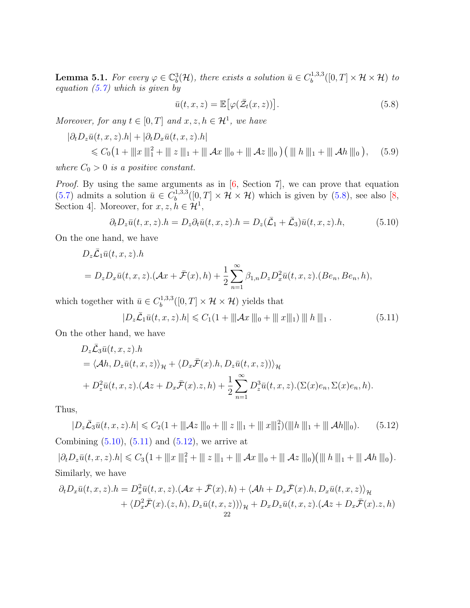**Lemma 5.1.** For every  $\varphi \in \mathbb{C}^3_b(\mathcal{H})$ , there exists a solution  $\bar{u} \in C_b^{1,3,3}$  $\mathcal{H}^{1,3,3}_{b}([0,T]\times\mathcal{H}\times\mathcal{H})$  *to equation (5.7) which is given by*

$$
\bar{u}(t,x,z) = \mathbb{E}\big[\varphi(\bar{\mathcal{Z}}_t(x,z))\big].\tag{5.8}
$$

*Moreover, for any*  $t \in [0, T]$  *and*  $x, z, h \in \mathcal{H}^1$ , we have

$$
\begin{aligned} |\partial_t D_z \bar{u}(t,x,z).h| + |\partial_t D_x \bar{u}(t,x,z).h| \\ &\leqslant C_0 \big( 1 + ||x||_1^2 + ||z||_1 + ||x||_2 + ||x||_0 + ||x||_2 \big) \big( ||h||_1 + ||x||_2 \big), \quad (5.9) \end{aligned}
$$

*where*  $C_0 > 0$  *is a positive constant.* 

*Proof.* By using the same arguments as in [6, Section 7], we can prove that equation  $(5.7)$  admits a solution  $\bar{u} \in C_b^{1,3,3}$  $b_b^{(1,3,3)}([0,T] \times \mathcal{H} \times \mathcal{H})$  which is given by (5.8), see also [8, Section 4]. Moreover, for  $x, z, h \in \mathcal{H}^1$ ,

$$
\partial_t D_z \bar{u}(t, x, z).h = D_z \partial_t \bar{u}(t, x, z).h = D_z(\bar{\mathcal{L}}_1 + \bar{\mathcal{L}}_3) \bar{u}(t, x, z).h,\tag{5.10}
$$

On the one hand, we have

$$
D_z \bar{\mathcal{L}}_1 \bar{u}(t, x, z).h
$$
  
=  $D_z D_x \bar{u}(t, x, z).(\mathcal{A}x + \bar{\mathcal{F}}(x), h) + \frac{1}{2} \sum_{n=1}^{\infty} \beta_{1,n} D_z D_x^2 \bar{u}(t, x, z).(Be_n, Be_n, h),$ 

which together with  $\bar{u} \in C_b^{1,3,3}$  $\mathcal{H}_b^{(1,3,3)}([0,T] \times \mathcal{H} \times \mathcal{H})$  yields that

$$
|D_z\bar{\mathcal{L}}_1\bar{u}(t,x,z).h| \leq C_1(1+\|\|\mathcal{A}x\|_0 + \|\|x\|_1)\|\|h\|\|_1.
$$
 (5.11)

On the other hand, we have

$$
D_z \bar{\mathcal{L}}_3 \bar{u}(t, x, z).h
$$
  
=  $\langle Ah, D_z \bar{u}(t, x, z) \rangle_{\mathcal{H}} + \langle D_x \bar{\mathcal{F}}(x).h, D_z \bar{u}(t, x, z) \rangle_{\mathcal{H}}$   
+  $D_z^2 \bar{u}(t, x, z).(\mathcal{A}z + D_x \bar{\mathcal{F}}(x).z, h) + \frac{1}{2} \sum_{n=1}^{\infty} D_z^3 \bar{u}(t, x, z).(\Sigma(x)e_n, \Sigma(x)e_n, h).$ 

Thus,

 $|D_z\bar{\mathcal{L}}_3\bar{u}(t,x,z).h| \leq C_2(1 + ||\mathcal{A}z||_0 + ||z||_1 + ||x||_1^2)(||h||_1 + ||\mathcal{A}h||_0).$  (5.12) Combining  $(5.10)$ ,  $(5.11)$  and  $(5.12)$ , we arrive at

 $|\partial_t D_z \bar{u}(t, x, z).h| \leq C_3 (1 + ||x||_1^2 + ||z||_1 + ||x||_0 + ||x||_0 + ||x||_0)(||h||_1 + ||x||_0).$ Similarly, we have

$$
\partial_t D_x \bar{u}(t, x, z) \cdot h = D_x^2 \bar{u}(t, x, z) \cdot (\mathcal{A}x + \bar{\mathcal{F}}(x), h) + \langle \mathcal{A}h + D_x \bar{\mathcal{F}}(x) \cdot h, D_x \bar{u}(t, x, z) \rangle_{\mathcal{H}} + \langle D_x^2 \bar{\mathcal{F}}(x) \cdot (z, h), D_z \bar{u}(t, x, z) \rangle_{\mathcal{H}} + D_x D_z \bar{u}(t, x, z) \cdot (\mathcal{A}z + D_x \bar{\mathcal{F}}(x) \cdot z, h) \n22
$$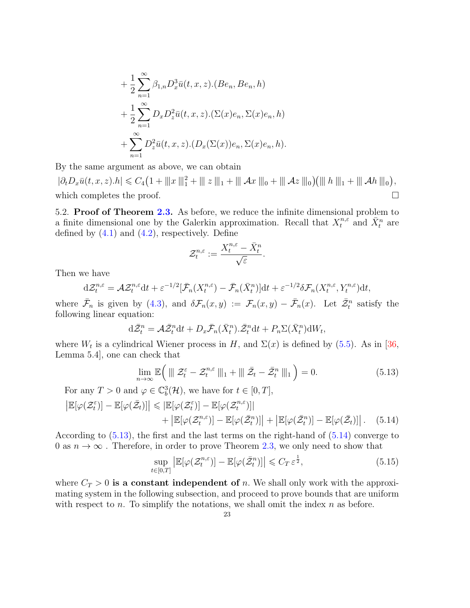+ 
$$
\frac{1}{2} \sum_{n=1}^{\infty} \beta_{1,n} D_x^3 \bar{u}(t, x, z) . (Be_n, Be_n, h)
$$
  
+  $\frac{1}{2} \sum_{n=1}^{\infty} D_x D_z^2 \bar{u}(t, x, z) . (\Sigma(x)e_n, \Sigma(x)e_n, h)$   
+  $\sum_{n=1}^{\infty} D_z^2 \bar{u}(t, x, z) . (D_x(\Sigma(x))e_n, \Sigma(x)e_n, h).$ 

By the same argument as above, we can obtain

 $|\partial_t D_x \bar{u}(t, x, z).h| \leq C_4 (1 + ||x||_1^2 + ||z||_1 + ||x||_0 + ||x||_0 + ||x||_0)(||h||_1 + ||x||_0),$ which completes the proof.  $\Box$ 

5.2. **Proof of Theorem 2.3.** As before, we reduce the infinite dimensional problem to a finite dimensional one by the Galerkin approximation. Recall that  $X_t^{n,\varepsilon}$  and  $\bar{X}_t^n$  are defined by  $(4.1)$  and  $(4.2)$ , respectively. Define

$$
\mathcal{Z}_t^{n,\varepsilon}:=\frac{X_t^{n,\varepsilon}-\bar{X}_t^n}{\sqrt{\varepsilon}}.
$$

Then we have

$$
d\mathcal{Z}_t^{n,\varepsilon} = \mathcal{A}\mathcal{Z}_t^{n,\varepsilon}dt + \varepsilon^{-1/2}[\bar{\mathcal{F}}_n(X_t^{n,\varepsilon}) - \bar{\mathcal{F}}_n(\bar{X}_t^n)]dt + \varepsilon^{-1/2}\delta\mathcal{F}_n(X_t^{n,\varepsilon},Y_t^{n,\varepsilon})dt,
$$

where  $\bar{\mathcal{F}}_n$  is given by (4.3), and  $\delta \mathcal{F}_n(x,y) := \mathcal{F}_n(x,y) - \bar{\mathcal{F}}_n(x)$ . Let  $\bar{\mathcal{Z}}_t^n$  satisfy the following linear equation:

$$
\mathrm{d}\bar{\mathcal{Z}}_t^n = \mathcal{A}\bar{\mathcal{Z}}_t^n \mathrm{d}t + D_x \bar{\mathcal{F}}_n(\bar{X}_t^n) \cdot \bar{\mathcal{Z}}_t^n \mathrm{d}t + P_n \Sigma(\bar{X}_t^n) \mathrm{d}W_t,
$$

where  $W_t$  is a cylindrical Wiener process in *H*, and  $\Sigma(x)$  is defined by (5.5). As in [36, Lemma 5.4], one can check that

$$
\lim_{n \to \infty} \mathbb{E}\left(\left\|\left| \mathcal{Z}_t^{\varepsilon} - \mathcal{Z}_t^{n,\varepsilon} \right\|\right|_1 + \left\|\left| \bar{\mathcal{Z}}_t - \bar{\mathcal{Z}}_t^n \right\|\right|_1\right) = 0. \tag{5.13}
$$

For any  $T > 0$  and  $\varphi \in \mathbb{C}_b^3(\mathcal{H})$ , we have for  $t \in [0, T]$ ,

$$
\left| \mathbb{E}[\varphi(\mathcal{Z}_t^{\varepsilon})] - \mathbb{E}[\varphi(\bar{\mathcal{Z}}_t)] \right| \leq \left| \mathbb{E}[\varphi(\mathcal{Z}_t^{\varepsilon})] - \mathbb{E}[\varphi(\mathcal{Z}_t^{n,\varepsilon})] \right| + \left| \mathbb{E}[\varphi(\mathcal{Z}_t^{n,\varepsilon})] - \mathbb{E}[\varphi(\bar{\mathcal{Z}}_t^{n})] \right| + \left| \mathbb{E}[\varphi(\bar{\mathcal{Z}}_t^{n})] - \mathbb{E}[\varphi(\bar{\mathcal{Z}}_t)] \right|.
$$
 (5.14)

According to  $(5.13)$ , the first and the last terms on the right-hand of  $(5.14)$  converge to 0 as  $n \to \infty$ . Therefore, in order to prove Theorem 2.3, we only need to show that

$$
\sup_{t \in [0,T]} \left| \mathbb{E}[\varphi(\mathcal{Z}_t^{n,\varepsilon})] - \mathbb{E}[\varphi(\bar{\mathcal{Z}}_t^{n})] \right| \leqslant C_T \, \varepsilon^{\frac{1}{2}},\tag{5.15}
$$

where  $C_T > 0$  is a constant independent of *n*. We shall only work with the approximating system in the following subsection, and proceed to prove bounds that are uniform with respect to *n*. To simplify the notations, we shall omit the index *n* as before.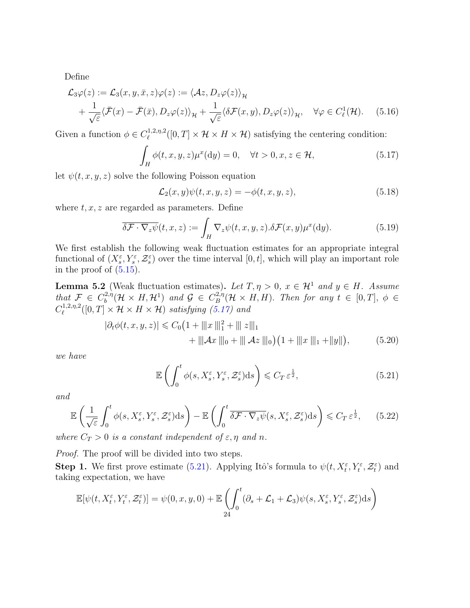Define

$$
\mathcal{L}_3\varphi(z) := \mathcal{L}_3(x, y, \bar{x}, z)\varphi(z) := \langle \mathcal{A}z, D_z\varphi(z) \rangle_{\mathcal{H}} \n+ \frac{1}{\sqrt{\varepsilon}} \langle \bar{\mathcal{F}}(x) - \bar{\mathcal{F}}(\bar{x}), D_z\varphi(z) \rangle_{\mathcal{H}} + \frac{1}{\sqrt{\varepsilon}} \langle \delta \mathcal{F}(x, y), D_z\varphi(z) \rangle_{\mathcal{H}}, \quad \forall \varphi \in C^1_{\ell}(\mathcal{H}).
$$
\n(5.16)

Given a function  $\phi \in C^{1,2,\eta,2}_{\ell}$  $\mathcal{H}^{1,2,\eta,2}([0,T] \times \mathcal{H} \times H \times \mathcal{H})$  satisfying the centering condition:

$$
\int_{H} \phi(t, x, y, z) \mu^{x}(\mathrm{d}y) = 0, \quad \forall t > 0, x, z \in \mathcal{H}, \tag{5.17}
$$

let  $\psi(t, x, y, z)$  solve the following Poisson equation

$$
\mathcal{L}_2(x, y)\psi(t, x, y, z) = -\phi(t, x, y, z),\tag{5.18}
$$

where  $t, x, z$  are regarded as parameters. Define

$$
\overline{\delta \mathcal{F} \cdot \nabla_z \psi}(t, x, z) := \int_H \nabla_z \psi(t, x, y, z) . \delta \mathcal{F}(x, y) \mu^x(\mathrm{d}y). \tag{5.19}
$$

We first establish the following weak fluctuation estimates for an appropriate integral functional of  $(X_s^{\varepsilon}, Y_s^{\varepsilon}, \mathcal{Z}_s^{\varepsilon})$  over the time interval  $[0, t]$ , which will play an important role in the proof of  $(5.15)$ .

**Lemma 5.2** (Weak fluctuation estimates). Let  $T, \eta > 0$ ,  $x \in \mathcal{H}^1$  and  $y \in H$ . Assume *that*  $\mathcal{F} \in C_b^{2,\eta}$  $\mathcal{G}_b^{2,\eta}(\mathcal{H} \times H, \mathcal{H}^1)$  and  $\mathcal{G} \in C_B^{2,\eta}$  $B^{(2,\eta)}(\mathcal{H} \times H, H)$ *. Then for any*  $t \in [0, T]$ *,*  $\phi \in$  $C^{1,2,\eta,2}_{\ell}$  $\mathcal{H}_{\ell}^{(1,2,\eta,2)}([0,T]\times\mathcal{H}\times H\times\mathcal{H})$  *satisfying* (5.17) and

$$
|\partial_t \phi(t, x, y, z)| \leq C_0 \left(1 + \| |x\|_1^2 + \| |z\|_1 \right) + \|Az\|_0 + \|Az\|_0 \left(1 + \| |x\|_1 + \|y\| \right),
$$
 (5.20)

*we have*

$$
\mathbb{E}\left(\int_0^t \phi(s, X_s^{\varepsilon}, Y_s^{\varepsilon}, \mathcal{Z}_s^{\varepsilon}) ds\right) \leqslant C_T \,\varepsilon^{\frac{1}{2}},\tag{5.21}
$$

*and*

$$
\mathbb{E}\left(\frac{1}{\sqrt{\varepsilon}}\int_0^t \phi(s, X_s^{\varepsilon}, Y_s^{\varepsilon}, \mathcal{Z}_s^{\varepsilon})ds\right) - \mathbb{E}\left(\int_0^t \overline{\delta\mathcal{F}\cdot\nabla_z\psi}(s, X_s^{\varepsilon}, \mathcal{Z}_s^{\varepsilon})ds\right) \leqslant C_T \varepsilon^{\frac{1}{2}},\qquad(5.22)
$$

*where*  $C_T > 0$  *is a constant independent of*  $\varepsilon, \eta$  *and*  $n$ .

*Proof.* The proof will be divided into two steps.

**Step 1.** We first prove estimate (5.21). Applying Itô's formula to  $\psi(t, X_t^{\varepsilon}, Y_t^{\varepsilon}, Z_t^{\varepsilon})$  and taking expectation, we have

$$
\mathbb{E}[\psi(t, X_t^{\varepsilon}, Y_t^{\varepsilon}, \mathcal{Z}_t^{\varepsilon})] = \psi(0, x, y, 0) + \mathbb{E}\left(\int_0^t (\partial_s + \mathcal{L}_1 + \mathcal{L}_3)\psi(s, X_s^{\varepsilon}, Y_s^{\varepsilon}, \mathcal{Z}_s^{\varepsilon})ds\right)
$$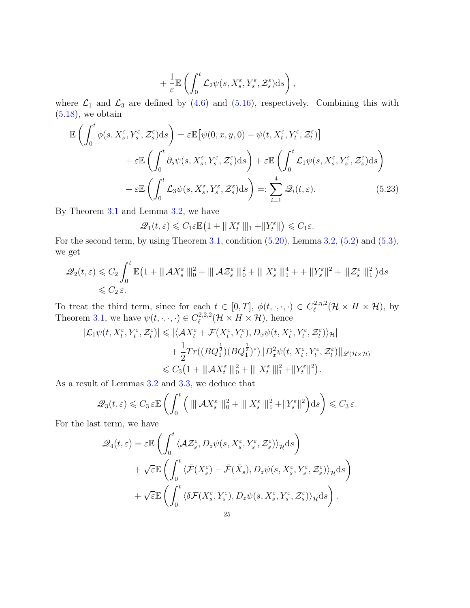$$
+\frac{1}{\varepsilon}\mathbb{E}\left(\int_0^t \mathcal{L}_2 \psi(s,X_s^\varepsilon,Y_s^\varepsilon,\mathcal{Z}_s^\varepsilon)ds\right),\,
$$

where  $\mathcal{L}_1$  and  $\mathcal{L}_3$  are defined by (4.6) and (5.16), respectively. Combining this with  $(5.18)$ , we obtain

$$
\mathbb{E}\left(\int_{0}^{t}\phi(s,X_{s}^{\varepsilon},Y_{s}^{\varepsilon},\mathcal{Z}_{s}^{\varepsilon})ds\right) = \varepsilon\mathbb{E}\left[\psi(0,x,y,0) - \psi(t,X_{t}^{\varepsilon},Y_{t}^{\varepsilon},\mathcal{Z}_{t}^{\varepsilon})\right] \n+ \varepsilon\mathbb{E}\left(\int_{0}^{t}\partial_{s}\psi(s,X_{s}^{\varepsilon},Y_{s}^{\varepsilon},\mathcal{Z}_{s}^{\varepsilon})ds\right) + \varepsilon\mathbb{E}\left(\int_{0}^{t}\mathcal{L}_{1}\psi(s,X_{s}^{\varepsilon},Y_{s}^{\varepsilon},\mathcal{Z}_{s}^{\varepsilon})ds\right) \n+ \varepsilon\mathbb{E}\left(\int_{0}^{t}\mathcal{L}_{3}\psi(s,X_{s}^{\varepsilon},Y_{s}^{\varepsilon},\mathcal{Z}_{s}^{\varepsilon})ds\right) =: \sum_{i=1}^{4}\mathcal{Q}_{i}(t,\varepsilon).
$$
\n(5.23)

By Theorem 3.1 and Lemma 3.2, we have

$$
\mathcal{Q}_1(t,\varepsilon)\leqslant C_1\varepsilon\mathbb{E}\left(1+\|X_t^{\varepsilon}\|_1+\|Y_t^{\varepsilon}\|\right)\leqslant C_1\varepsilon.
$$

For the second term, by using Theorem 3.1, condition  $(5.20)$ , Lemma 3.2,  $(5.2)$  and  $(5.3)$ , we get

$$
\mathcal{Q}_2(t,\varepsilon) \leqslant C_2 \int_0^t \mathbb{E} \left( 1 + \|\mathcal{A}X_s^{\varepsilon}\|_0^2 + \|\mathcal{A}\mathcal{Z}_s^{\varepsilon}\|_0^2 + \|\mathcal{X}_s^{\varepsilon}\|_1^4 + \|\mathcal{Y}_s^{\varepsilon}\|^2 + \|\mathcal{Z}_s^{\varepsilon}\|_1^2 \right) ds
$$
  
\$\leqslant C\_2 \varepsilon\$.

To treat the third term, since for each  $t \in [0, T]$ ,  $\phi(t, \cdot, \cdot, \cdot) \in C_{\ell}^{2, \eta, 2}$  $\ell^{2,\eta,2}(\mathcal{H}\times H\times\mathcal{H}), \text{ by }$ Theorem 3.1, we have  $\psi(t, \cdot, \cdot, \cdot) \in C^{2,2,2}_{\ell}$  $\ell^{2,2,2}(\mathcal{H}\times H\times \mathcal{H})$ , hence

$$
\begin{split} |\mathcal{L}_1\psi(t,X_t^{\varepsilon},Y_t^{\varepsilon},\mathcal{Z}_t^{\varepsilon})| &\leqslant |\langle \mathcal{A}X_t^{\varepsilon}+\mathcal{F}(X_t^{\varepsilon},Y_t^{\varepsilon}),D_x\psi(t,X_t^{\varepsilon},Y_t^{\varepsilon},\mathcal{Z}_t^{\varepsilon})\rangle_{\mathcal{H}}| \\ &+ \frac{1}{2}Tr((BQ_1^{\frac{1}{2}})(BQ_1^{\frac{1}{2}})^*)\|D_x^2\psi(t,X_t^{\varepsilon},Y_t^{\varepsilon},\mathcal{Z}_t^{\varepsilon})\|_{\mathscr{L}(\mathcal{H}\times\mathcal{H})} \\ &\leqslant C_3\big(1+\|\mathcal{A}X_t^{\varepsilon}\,\|_0^2+\|\|X_t^{\varepsilon}\,\|_1^2+\|Y_t^{\varepsilon}\|^2\big). \end{split}
$$

As a result of Lemmas 3.2 and 3.3, we deduce that

$$
\mathscr{Q}_3(t,\varepsilon) \leqslant C_3 \varepsilon \mathbb{E} \left( \int_0^t \left( \|\| \mathcal{A} X_s^{\varepsilon} \|_0^2 + \|\| X_s^{\varepsilon} \|_1^2 + \| Y_s^{\varepsilon} \|^2 \right) ds \right) \leqslant C_3 \varepsilon.
$$

For the last term, we have

$$
\mathcal{Q}_4(t,\varepsilon) = \varepsilon \mathbb{E} \left( \int_0^t \langle \mathcal{A} \mathcal{Z}_s^{\varepsilon}, D_z \psi(s, X_s^{\varepsilon}, Y_s^{\varepsilon}, \mathcal{Z}_s^{\varepsilon}) \rangle_{\mathcal{H}} ds \right) \n+ \sqrt{\varepsilon} \mathbb{E} \left( \int_0^t \langle \bar{\mathcal{F}}(X_s^{\varepsilon}) - \bar{\mathcal{F}}(\bar{X}_s), D_z \psi(s, X_s^{\varepsilon}, Y_s^{\varepsilon}, \mathcal{Z}_s^{\varepsilon}) \rangle_{\mathcal{H}} ds \right) \n+ \sqrt{\varepsilon} \mathbb{E} \left( \int_0^t \langle \delta \mathcal{F}(X_s^{\varepsilon}, Y_s^{\varepsilon}), D_z \psi(s, X_s^{\varepsilon}, Y_s^{\varepsilon}, \mathcal{Z}_s^{\varepsilon}) \rangle_{\mathcal{H}} ds \right).
$$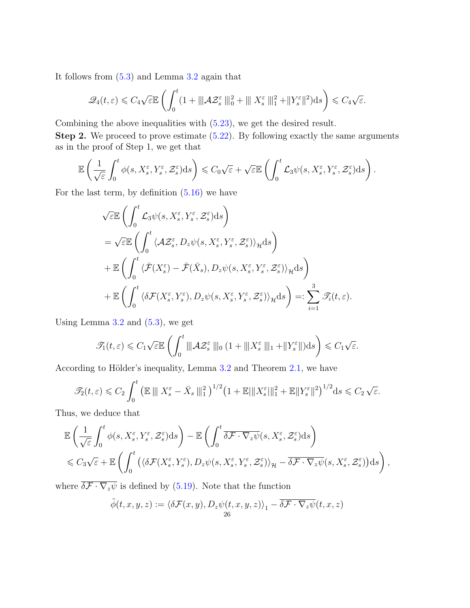It follows from (5.3) and Lemma 3.2 again that

$$
\mathscr{Q}_4(t,\varepsilon) \leqslant C_4\sqrt{\varepsilon} \mathbb{E}\left(\int_0^t (1+\|\mathcal{A}\mathcal{Z}_s^{\varepsilon}\|_0^2+\|\mathcal{X}_s^{\varepsilon}\|_1^2+\|Y_s^{\varepsilon}\|^2)ds\right) \leqslant C_4\sqrt{\varepsilon}.
$$

Combining the above inequalities with (5.23), we get the desired result.

**Step 2.** We proceed to prove estimate  $(5.22)$ . By following exactly the same arguments as in the proof of Step 1, we get that

$$
\mathbb{E}\left(\frac{1}{\sqrt{\varepsilon}}\int_0^t \phi(s,X_s^{\varepsilon},Y_s^{\varepsilon},\mathcal{Z}_s^{\varepsilon})\mathrm{d}s\right) \leqslant C_0\sqrt{\varepsilon} + \sqrt{\varepsilon}\mathbb{E}\left(\int_0^t \mathcal{L}_3\psi(s,X_s^{\varepsilon},Y_s^{\varepsilon},\mathcal{Z}_s^{\varepsilon})\mathrm{d}s\right).
$$

For the last term, by definition  $(5.16)$  we have

$$
\sqrt{\varepsilon} \mathbb{E} \left( \int_0^t \mathcal{L}_3 \psi(s, X_s^{\varepsilon}, Y_s^{\varepsilon}, \mathcal{Z}_s^{\varepsilon}) ds \right)
$$
  
\n
$$
= \sqrt{\varepsilon} \mathbb{E} \left( \int_0^t \langle A \mathcal{Z}_s^{\varepsilon}, D_z \psi(s, X_s^{\varepsilon}, Y_s^{\varepsilon}, \mathcal{Z}_s^{\varepsilon}) \rangle_{\mathcal{H}} ds \right)
$$
  
\n
$$
+ \mathbb{E} \left( \int_0^t \langle \bar{\mathcal{F}}(X_s^{\varepsilon}) - \bar{\mathcal{F}}(\bar{X}_s), D_z \psi(s, X_s^{\varepsilon}, Y_s^{\varepsilon}, \mathcal{Z}_s^{\varepsilon}) \rangle_{\mathcal{H}} ds \right)
$$
  
\n
$$
+ \mathbb{E} \left( \int_0^t \langle \delta \mathcal{F}(X_s^{\varepsilon}, Y_s^{\varepsilon}), D_z \psi(s, X_s^{\varepsilon}, Y_s^{\varepsilon}, \mathcal{Z}_s^{\varepsilon}) \rangle_{\mathcal{H}} ds \right) =: \sum_{i=1}^3 \mathcal{J}_i(t, \varepsilon).
$$

Using Lemma  $3.2$  and  $(5.3)$ , we get

$$
\mathcal{T}_1(t,\varepsilon) \leqslant C_1\sqrt{\varepsilon} \mathbb{E}\left(\int_0^t \|\mathcal{A}\mathcal{Z}_s^{\varepsilon}\| \|\mathbf{0}\left(1+\|\mathbf{X}_s^{\varepsilon}\| \|\mathbf{1}+\|Y_s^{\varepsilon}\|\right) \mathrm{d} s\right) \leqslant C_1\sqrt{\varepsilon}.
$$

According to Hölder's inequality, Lemma  $3.2$  and Theorem  $2.1$ , we have

$$
\mathcal{F}_2(t,\varepsilon) \leqslant C_2 \int_0^t \left( \mathbb{E} \left\| \left| X_s^{\varepsilon} - \bar{X}_s \right| \right\|_1^2 \right)^{1/2} \left( 1 + \mathbb{E} \left\| X_s^{\varepsilon} \right\|_1^2 + \mathbb{E} \left\| Y_s^{\varepsilon} \right\|^2 \right)^{1/2} ds \leqslant C_2 \sqrt{\varepsilon}.
$$

Thus, we deduce that

$$
\mathbb{E}\left(\frac{1}{\sqrt{\varepsilon}}\int_0^t \phi(s,X_s^{\varepsilon},Y_s^{\varepsilon},\mathcal{Z}_s^{\varepsilon})ds\right) - \mathbb{E}\left(\int_0^t \overline{\delta\mathcal{F}\cdot\nabla_z\psi}(s,X_s^{\varepsilon},\mathcal{Z}_s^{\varepsilon})ds\right) \leq C_3\sqrt{\varepsilon} + \mathbb{E}\left(\int_0^t \left(\langle \delta\mathcal{F}(X_s^{\varepsilon},Y_s^{\varepsilon}),D_z\psi(s,X_s^{\varepsilon},Y_s^{\varepsilon},\mathcal{Z}_s^{\varepsilon})\rangle_{\mathcal{H}} - \overline{\delta\mathcal{F}\cdot\nabla_z\psi}(s,X_s^{\varepsilon},\mathcal{Z}_s^{\varepsilon})\right)ds\right),
$$

where  $\delta \mathcal{F} \cdot \nabla_z \psi$  is defined by (5.19). Note that the function

$$
\tilde{\phi}(t,x,y,z):=\langle\delta\mathcal{F}(x,y),D_z\psi(t,x,y,z)\rangle_1-\overline{\delta\mathcal{F}\cdot\nabla_z\psi}(t,x,z)
$$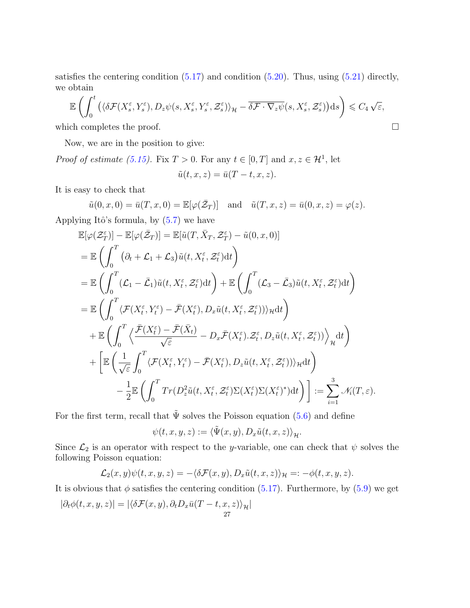satisfies the centering condition  $(5.17)$  and condition  $(5.20)$ . Thus, using  $(5.21)$  directly, we obtain

$$
\mathbb{E}\left(\int_0^t \left(\langle \delta \mathcal{F}(X_s^{\varepsilon}, Y_s^{\varepsilon}), D_z \psi(s, X_s^{\varepsilon}, Y_s^{\varepsilon}, \mathcal{Z}_s^{\varepsilon})\rangle_{\mathcal{H}} - \overline{\delta \mathcal{F} \cdot \nabla_z \psi}(s, X_s^{\varepsilon}, \mathcal{Z}_s^{\varepsilon})\right) ds\right) \leq C_4 \sqrt{\varepsilon},
$$
\nwhich completes the proof.

Now, we are in the position to give:

*Proof of estimate (5.15).* Fix  $T > 0$ . For any  $t \in [0, T]$  and  $x, z \in \mathcal{H}^1$ , let  $\tilde{u}(t, x, z) = \overline{u}(T - t, x, z).$ 

It is easy to check that

 $\tilde{u}(0, x, 0) = \bar{u}(T, x, 0) = \mathbb{E}[\varphi(\bar{Z}_T)]$  and  $\tilde{u}(T, x, z) = \bar{u}(0, x, z) = \varphi(z)$ . Applying Itô's formula, by  $(5.7)$  we have

$$
\mathbb{E}[\varphi(\mathcal{Z}_T^{\varepsilon})] - \mathbb{E}[\varphi(\bar{\mathcal{Z}}_T)] = \mathbb{E}[\tilde{u}(T, \bar{X}_T, \mathcal{Z}_T^{\varepsilon}) - \tilde{u}(0, x, 0)]
$$
\n  
\n= 
$$
\mathbb{E}\left(\int_0^T (\partial_t + \mathcal{L}_1 + \mathcal{L}_3) \tilde{u}(t, X_t^{\varepsilon}, \mathcal{Z}_t^{\varepsilon}) dt\right)
$$
\n  
\n= 
$$
\mathbb{E}\left(\int_0^T (\mathcal{L}_1 - \bar{\mathcal{L}}_1) \tilde{u}(t, X_t^{\varepsilon}, \mathcal{Z}_t^{\varepsilon}) dt\right) + \mathbb{E}\left(\int_0^T (\mathcal{L}_3 - \bar{\mathcal{L}}_3) \tilde{u}(t, X_t^{\varepsilon}, \mathcal{Z}_t^{\varepsilon}) dt\right)
$$
\n  
\n= 
$$
\mathbb{E}\left(\int_0^T \langle \mathcal{F}(X_t^{\varepsilon}, Y_t^{\varepsilon}) - \bar{\mathcal{F}}(X_t^{\varepsilon}), D_x \tilde{u}(t, X_t^{\varepsilon}, \mathcal{Z}_t^{\varepsilon}) \rangle \rangle_{\mathcal{H}} dt\right)
$$
\n  
\n+ 
$$
\mathbb{E}\left(\int_0^T \langle \frac{\bar{\mathcal{F}}(X_t^{\varepsilon}) - \bar{\mathcal{F}}(\bar{X}_t)}{\sqrt{\varepsilon}} - D_x \bar{\mathcal{F}}(X_t^{\varepsilon}), \mathcal{Z}_t^{\varepsilon}, D_z \tilde{u}(t, X_t^{\varepsilon}, \mathcal{Z}_t^{\varepsilon}) \rangle \rangle_{\mathcal{H}} dt\right)
$$
\n  
\n+ 
$$
\left[\mathbb{E}\left(\frac{1}{\sqrt{\varepsilon}} \int_0^T \langle \mathcal{F}(X_t^{\varepsilon}, Y_t^{\varepsilon}) - \bar{\mathcal{F}}(X_t^{\varepsilon}), D_z \tilde{u}(t, X_t^{\varepsilon}, \mathcal{Z}_t^{\varepsilon}) \rangle \rangle_{\mathcal{H}} dt\right)
$$
\n  
\n- 
$$
\frac{1}{2} \mathbb{E}\left(\int_0^T Tr(D_z^2 \tilde{u}(t, X_t^{\varepsilon}, \mathcal{
$$

For the first term, recall that  $\tilde{\Psi}$  solves the Poisson equation (5.6) and define

$$
\psi(t, x, y, z) := \langle \tilde{\Psi}(x, y), D_x \tilde{u}(t, x, z) \rangle_{\mathcal{H}}.
$$

Since  $\mathcal{L}_2$  is an operator with respect to the *y*-variable, one can check that  $\psi$  solves the following Poisson equation:

$$
\mathcal{L}_2(x,y)\psi(t,x,y,z) = -\langle \delta \mathcal{F}(x,y), D_x \tilde{u}(t,x,z) \rangle_{\mathcal{H}} =: -\phi(t,x,y,z).
$$

It is obvious that  $\phi$  satisfies the centering condition (5.17). Furthermore, by (5.9) we get

$$
|\partial_t \phi(t,x,y,z)| = |\langle \delta \mathcal{F}(x,y), \partial_t D_x \bar{u}(T-t,x,z) \rangle_{\mathcal{H}}|
$$
27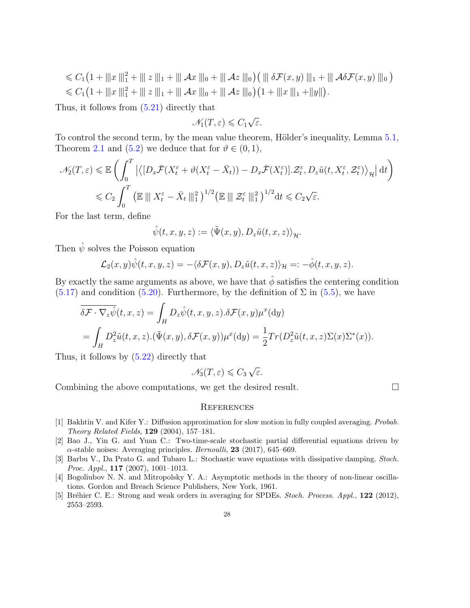$\leq C_1\left(1+\|x\|^2_1+\|z\|_1+\|Ax\|_0+\|Az\|_0\right)\left(\|\delta\mathcal{F}(x,y)\|_1+\|\mathcal{A}\delta\mathcal{F}(x,y)\|_0\right)$  $\leq C_1\left(1+\|x\|^2_1+\|z\|_1+\|Ax\|_0+\|Az\|_0\right)\left(1+\|x\|_1+\|y\|\right).$ 

Thus, it follows from (5.21) directly that

$$
\mathcal{N}_1(T,\varepsilon) \leqslant C_1 \sqrt{\varepsilon}.
$$

To control the second term, by the mean value theorem, Hölder's inequality, Lemma 5.1, Theorem 2.1 and (5.2) we deduce that for  $\vartheta \in (0,1)$ ,

$$
\mathcal{N}_2(T,\varepsilon) \leq \mathbb{E}\left(\int_0^T \left|\left\langle [D_x \overline{\mathcal{F}}(X_t^{\varepsilon} + \vartheta(X_t^{\varepsilon} - \overline{X}_t)) - D_x \overline{\mathcal{F}}(X_t^{\varepsilon})] \cdot \mathcal{Z}_t^{\varepsilon}, D_z \tilde{u}(t, X_t^{\varepsilon}, \mathcal{Z}_t^{\varepsilon}) \right\rangle_{\mathcal{H}} \right| dt\right)
$$
  

$$
\leq C_2 \int_0^T \left(\mathbb{E} \left[ \|X_t^{\varepsilon} - \overline{X}_t\| \right]_1^2 \right)^{1/2} \left(\mathbb{E} \left[ \| \mathcal{Z}_t^{\varepsilon} \right] \right|_1^2 \right)^{1/2} dt \leq C_2 \sqrt{\varepsilon}.
$$

For the last term, define

$$
\hat{\psi}(t,x,y,z) := \langle \tilde{\Psi}(x,y), D_z \tilde{u}(t,x,z) \rangle_{\mathcal{H}}.
$$

Then  $\hat{\psi}$  solves the Poisson equation

$$
\mathcal{L}_2(x,y)\hat{\psi}(t,x,y,z) = -\langle \delta \mathcal{F}(x,y), D_z \tilde{u}(t,x,z) \rangle_{\mathcal{H}} =: -\hat{\phi}(t,x,y,z).
$$

By exactly the same arguments as above, we have that  $\hat{\phi}$  satisfies the centering condition  $(5.17)$  and condition  $(5.20)$ . Furthermore, by the definition of  $\Sigma$  in  $(5.5)$ , we have

$$
\overline{\delta \mathcal{F} \cdot \nabla_z \hat{\psi}}(t, x, z) = \int_H D_z \hat{\psi}(t, x, y, z) . \delta \mathcal{F}(x, y) \mu^x(\mathrm{d}y)
$$
  
= 
$$
\int_H D_z^2 \tilde{u}(t, x, z) . (\tilde{\Psi}(x, y), \delta \mathcal{F}(x, y)) \mu^x(\mathrm{d}y) = \frac{1}{2} Tr(D_z^2 \tilde{u}(t, x, z) \Sigma(x) \Sigma^*(x)).
$$

Thus, it follows by (5.22) directly that

$$
\mathcal{N}_3(T,\varepsilon) \leqslant C_3 \sqrt{\varepsilon}.
$$

Combining the above computations, we get the desired result.

#### **REFERENCES**

- [1] Bakhtin V. and Kifer Y.: Diffusion approximation for slow motion in fully coupled averaging. *Probab. Theory Related Fields*, **129** (2004), 157–181.
- [2] Bao J., Yin G. and Yuan C.: Two-time-scale stochastic partial differential equations driven by *α*-stable noises: Averaging principles. *Bernoulli*, **23** (2017), 645–669.
- [3] Barbu V., Da Prato G. and Tubaro L.: Stochastic wave equations with dissipative damping. *Stoch. Proc. Appl.*, **117** (2007), 1001–1013.
- [4] Bogoliubov N. N. and Mitropolsky Y. A.: Asymptotic methods in the theory of non-linear oscillations. Gordon and Breach Science Publishers, New York, 1961.
- [5] Br´ehier C. E.: Strong and weak orders in averaging for SPDEs. *Stoch. Process. Appl.*, **122** (2012), 2553–2593.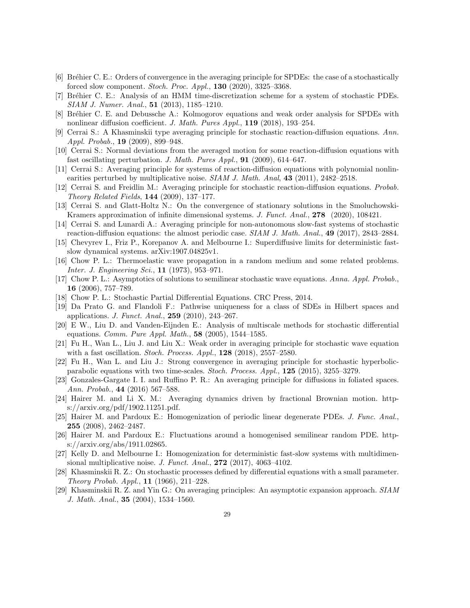- [6] Bréhier C. E.: Orders of convergence in the averaging principle for SPDEs: the case of a stochastically forced slow component. *Stoch. Proc. Appl.*, **130** (2020), 3325–3368.
- [7] Br´ehier C. E.: Analysis of an HMM time-discretization scheme for a system of stochastic PDEs. *SIAM J. Numer. Anal.*, **51** (2013), 1185–1210.
- [8] Bréhier C. E. and Debussche A.: Kolmogorov equations and weak order analysis for SPDEs with nonlinear diffusion coefficient. *J. Math. Pures Appl.*, **119** (2018), 193–254.
- [9] Cerrai S.: A Khasminskii type averaging principle for stochastic reaction-diffusion equations. *Ann. Appl. Probab.*, **19** (2009), 899–948.
- [10] Cerrai S.: Normal deviations from the averaged motion for some reaction-diffusion equations with fast oscillating perturbation. *J. Math. Pures Appl.*, **91** (2009), 614–647.
- [11] Cerrai S.: Averaging principle for systems of reaction-diffusion equations with polynomial nonlinearities perturbed by multiplicative noise. *SIAM J. Math. Anal*, **43** (2011), 2482–2518.
- [12] Cerrai S. and Freidlin M.: Averaging principle for stochastic reaction-diffusion equations. *Probab. Theory Related Fields*, **144** (2009), 137–177.
- [13] Cerrai S. and Glatt-Holtz N.: On the convergence of stationary solutions in the Smoluchowski-Kramers approximation of infinite dimensional systems. *J. Funct. Anal.*, **278** (2020), 108421.
- [14] Cerrai S. and Lunardi A.: Averaging principle for non-autonomous slow-fast systems of stochastic reaction-diffusion equations: the almost periodic case. *SIAM J. Math. Anal.*, **49** (2017), 2843–2884.
- [15] Chevyrev I., Friz P., Korepanov A. and Melbourne I.: Superdiffusive limits for deterministic fastslow dynamical systems. arXiv:1907.04825v1.
- [16] Chow P. L.: Thermoelastic wave propagation in a random medium and some related problems. *Inter. J. Engineering Sci.*, **11** (1973), 953–971.
- [17] Chow P. L.: Asymptotics of solutions to semilinear stochastic wave equations. *Anna. Appl. Probab.*, **16** (2006), 757–789.
- [18] Chow P. L.: Stochastic Partial Differential Equations. CRC Press, 2014.
- [19] Da Prato G. and Flandoli F.: Pathwise uniqueness for a class of SDEs in Hilbert spaces and applications. *J. Funct. Anal.*, **259** (2010), 243–267.
- [20] E W., Liu D. and Vanden-Eijnden E.: Analysis of multiscale methods for stochastic differential equations. *Comm. Pure Appl. Math.*, **58** (2005), 1544–1585.
- [21] Fu H., Wan L., Liu J. and Liu X.: Weak order in averaging principle for stochastic wave equation with a fast oscillation. *Stoch. Process. Appl.*, **128** (2018), 2557–2580.
- [22] Fu H., Wan L. and Liu J.: Strong convergence in averaging principle for stochastic hyperbolicparabolic equations with two time-scales. *Stoch. Process. Appl.*, **125** (2015), 3255–3279.
- [23] Gonzales-Gargate I. I. and Ruffino P. R.: An averaging principle for diffusions in foliated spaces. *Ann. Probab.*, **44** (2016) 567–588.
- [24] Hairer M. and Li X. M.: Averaging dynamics driven by fractional Brownian motion. https://arxiv.org/pdf/1902.11251.pdf.
- [25] Hairer M. and Pardoux E.: Homogenization of periodic linear degenerate PDEs. *J. Func. Anal.*, **255** (2008), 2462–2487.
- [26] Hairer M. and Pardoux E.: Fluctuations around a homogenised semilinear random PDE. https://arxiv.org/abs/1911.02865.
- [27] Kelly D. and Melbourne I.: Homogenization for deterministic fast-slow systems with multidimensional multiplicative noise. *J. Funct. Anal.*, **272** (2017), 4063–4102.
- [28] Khasminskii R. Z.: On stochastic processes defined by differential equations with a small parameter. *Theory Probab. Appl.*, **11** (1966), 211–228.
- [29] Khasminskii R. Z. and Yin G.: On averaging principles: An asymptotic expansion approach. *SIAM J. Math. Anal.*, **35** (2004), 1534–1560.